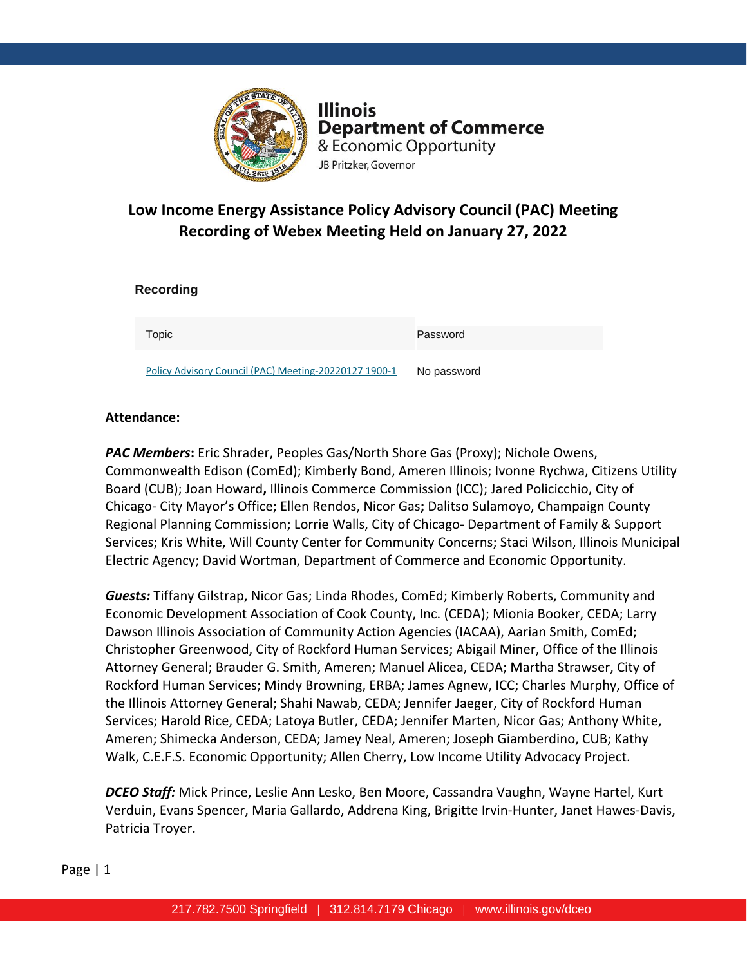

**Illinois Department of Commerce** & Economic Opportunity JB Pritzker, Governor

# **Low Income Energy Assistance Policy Advisory Council (PAC) Meeting Recording of Webex Meeting Held on January 27, 2022**

| <b>Recording</b>                                      |             |
|-------------------------------------------------------|-------------|
| Topic                                                 | Password    |
| Policy Advisory Council (PAC) Meeting-20220127 1900-1 | No password |

### **Attendance:**

*PAC Members***:** Eric Shrader, Peoples Gas/North Shore Gas (Proxy); Nichole Owens, Commonwealth Edison (ComEd); Kimberly Bond, Ameren Illinois; Ivonne Rychwa, Citizens Utility Board (CUB); Joan Howard**,** Illinois Commerce Commission (ICC); Jared Policicchio, City of Chicago- City Mayor's Office; Ellen Rendos, Nicor Gas**;** Dalitso Sulamoyo, Champaign County Regional Planning Commission; Lorrie Walls, City of Chicago- Department of Family & Support Services; Kris White, Will County Center for Community Concerns; Staci Wilson, Illinois Municipal Electric Agency; David Wortman, Department of Commerce and Economic Opportunity.

*Guests:* Tiffany Gilstrap, Nicor Gas; Linda Rhodes, ComEd; Kimberly Roberts, Community and Economic Development Association of Cook County, Inc. (CEDA); Mionia Booker, CEDA; Larry Dawson Illinois Association of Community Action Agencies (IACAA), Aarian Smith, ComEd; Christopher Greenwood, City of Rockford Human Services; Abigail Miner, Office of the Illinois Attorney General; Brauder G. Smith, Ameren; Manuel Alicea, CEDA; Martha Strawser, City of Rockford Human Services; Mindy Browning, ERBA; James Agnew, ICC; Charles Murphy, Office of the Illinois Attorney General; Shahi Nawab, CEDA; Jennifer Jaeger, City of Rockford Human Services; Harold Rice, CEDA; Latoya Butler, CEDA; Jennifer Marten, Nicor Gas; Anthony White, Ameren; Shimecka Anderson, CEDA; Jamey Neal, Ameren; Joseph Giamberdino, CUB; Kathy Walk, C.E.F.S. Economic Opportunity; Allen Cherry, Low Income Utility Advocacy Project.

*DCEO Staff:* Mick Prince, Leslie Ann Lesko, Ben Moore, Cassandra Vaughn, Wayne Hartel, Kurt Verduin, Evans Spencer, Maria Gallardo, Addrena King, Brigitte Irvin-Hunter, Janet Hawes-Davis, Patricia Troyer.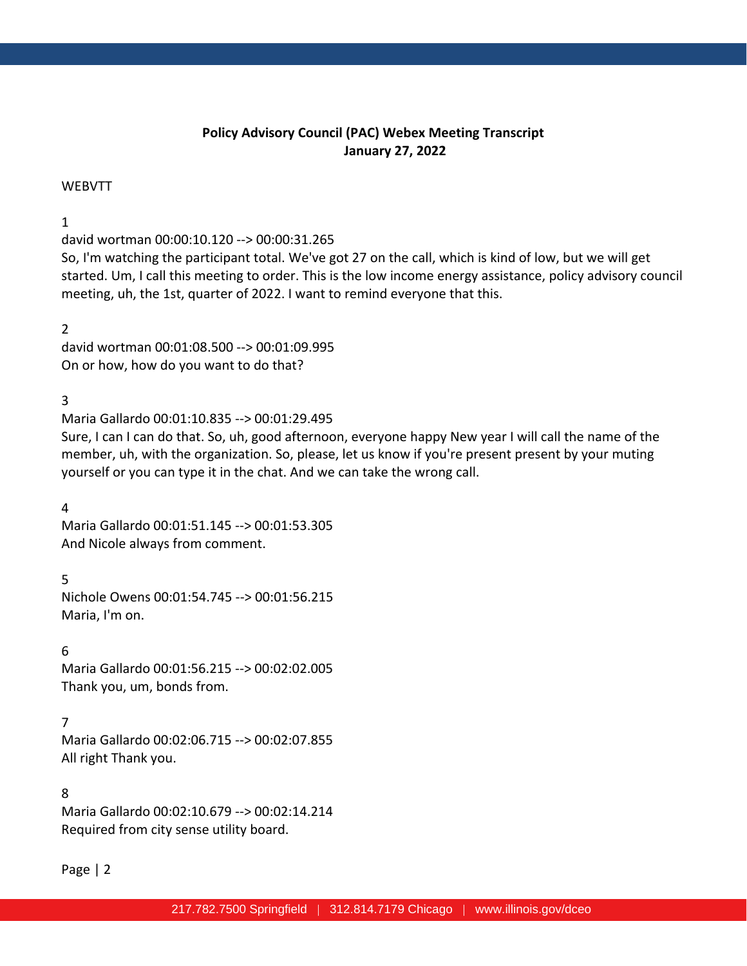# **Policy Advisory Council (PAC) Webex Meeting Transcript January 27, 2022**

#### WEBVTT

## 1

david wortman 00:00:10.120 --> 00:00:31.265

So, I'm watching the participant total. We've got 27 on the call, which is kind of low, but we will get started. Um, I call this meeting to order. This is the low income energy assistance, policy advisory council meeting, uh, the 1st, quarter of 2022. I want to remind everyone that this.

## 2

david wortman 00:01:08.500 --> 00:01:09.995 On or how, how do you want to do that?

# 3

Maria Gallardo 00:01:10.835 --> 00:01:29.495

Sure, I can I can do that. So, uh, good afternoon, everyone happy New year I will call the name of the member, uh, with the organization. So, please, let us know if you're present present by your muting yourself or you can type it in the chat. And we can take the wrong call.

### 4

Maria Gallardo 00:01:51.145 --> 00:01:53.305 And Nicole always from comment.

5

Nichole Owens 00:01:54.745 --> 00:01:56.215 Maria, I'm on.

### 6

Maria Gallardo 00:01:56.215 --> 00:02:02.005 Thank you, um, bonds from.

# 7

Maria Gallardo 00:02:06.715 --> 00:02:07.855 All right Thank you.

### 8

Maria Gallardo 00:02:10.679 --> 00:02:14.214 Required from city sense utility board.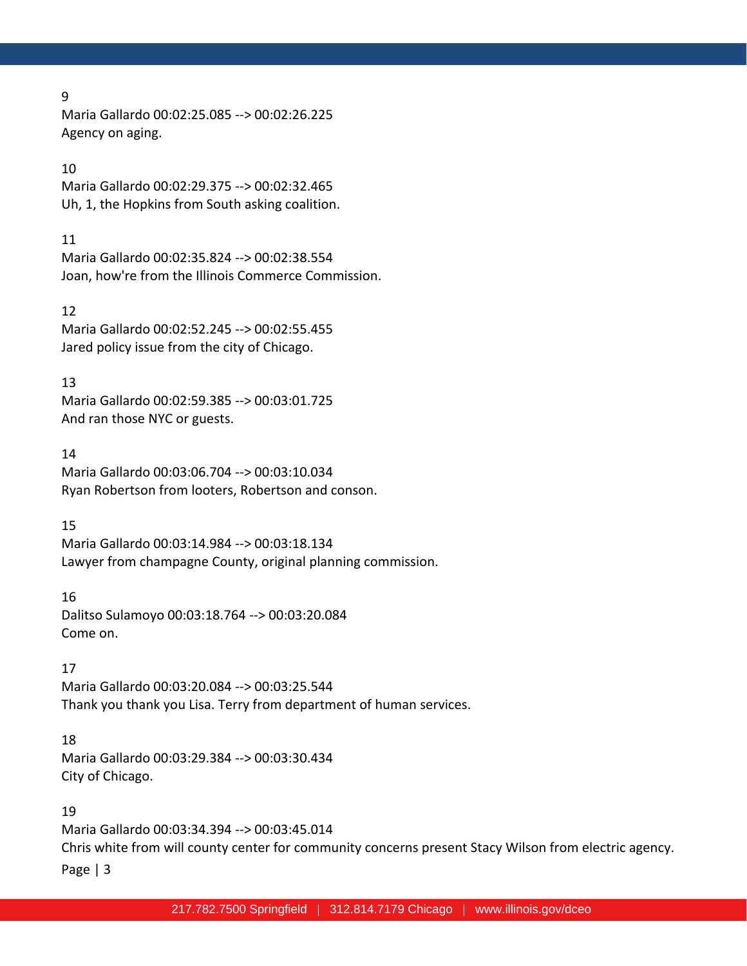Maria Gallardo 00:02:25.085 --> 00:02:26.225 Agency on aging.

# 10

Maria Gallardo 00:02:29.375 --> 00:02:32.465 Uh, 1, the Hopkins from South asking coalition.

#### 11

Maria Gallardo 00:02:35.824 --> 00:02:38.554 Joan, how're from the Illinois Commerce Commission.

#### 12

Maria Gallardo 00:02:52.245 --> 00:02:55.455 Jared policy issue from the city of Chicago.

### 13

Maria Gallardo 00:02:59.385 --> 00:03:01.725 And ran those NYC or guests.

### 14

Maria Gallardo 00:03:06.704 --> 00:03:10.034 Ryan Robertson from looters, Robertson and conson.

### 15

Maria Gallardo 00:03:14.984 --> 00:03:18.134 Lawyer from champagne County, original planning commission.

### 16

Dalitso Sulamoyo 00:03:18.764 --> 00:03:20.084 Come on.

### 17

Maria Gallardo 00:03:20.084 --> 00:03:25.544 Thank you thank you Lisa. Terry from department of human services.

### 18

Maria Gallardo 00:03:29.384 --> 00:03:30.434 City of Chicago.

### 19

Page | 3 Maria Gallardo 00:03:34.394 --> 00:03:45.014 Chris white from will county center for community concerns present Stacy Wilson from electric agency.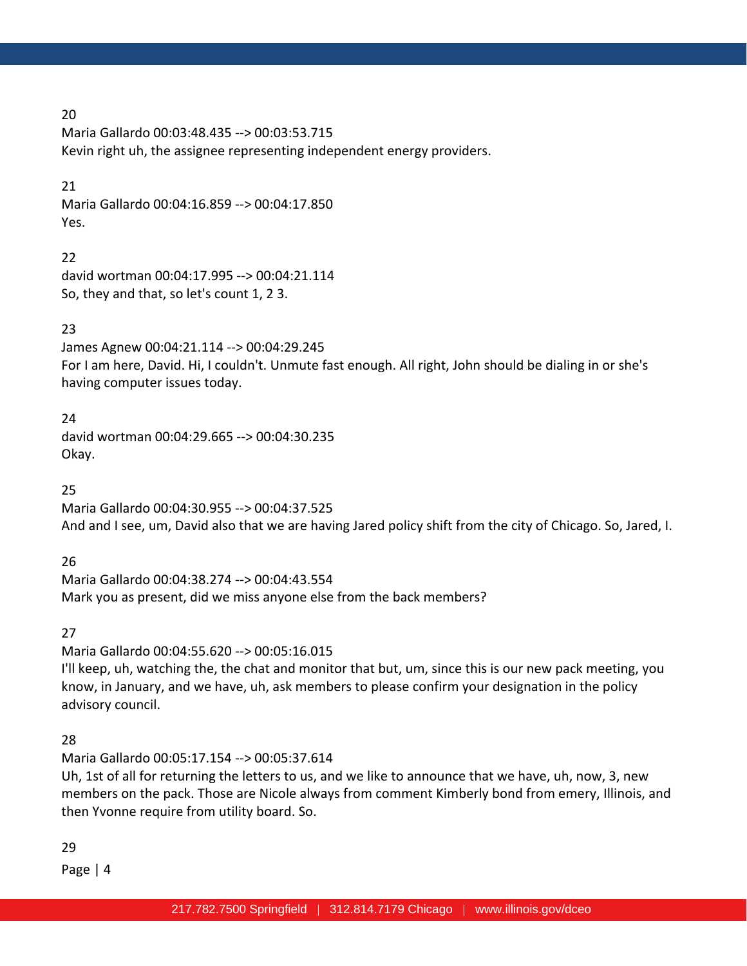Maria Gallardo 00:03:48.435 --> 00:03:53.715 Kevin right uh, the assignee representing independent energy providers.

### 21

Maria Gallardo 00:04:16.859 --> 00:04:17.850 Yes.

# 22

david wortman 00:04:17.995 --> 00:04:21.114 So, they and that, so let's count 1, 2 3.

# 23

James Agnew 00:04:21.114 --> 00:04:29.245 For I am here, David. Hi, I couldn't. Unmute fast enough. All right, John should be dialing in or she's having computer issues today.

## 24

david wortman 00:04:29.665 --> 00:04:30.235 Okay.

# 25

Maria Gallardo 00:04:30.955 --> 00:04:37.525 And and I see, um, David also that we are having Jared policy shift from the city of Chicago. So, Jared, I.

# 26

Maria Gallardo 00:04:38.274 --> 00:04:43.554 Mark you as present, did we miss anyone else from the back members?

# 27

Maria Gallardo 00:04:55.620 --> 00:05:16.015 I'll keep, uh, watching the, the chat and monitor that but, um, since this is our new pack meeting, you know, in January, and we have, uh, ask members to please confirm your designation in the policy advisory council.

# 28

Maria Gallardo 00:05:17.154 --> 00:05:37.614

Uh, 1st of all for returning the letters to us, and we like to announce that we have, uh, now, 3, new members on the pack. Those are Nicole always from comment Kimberly bond from emery, Illinois, and then Yvonne require from utility board. So.

# 29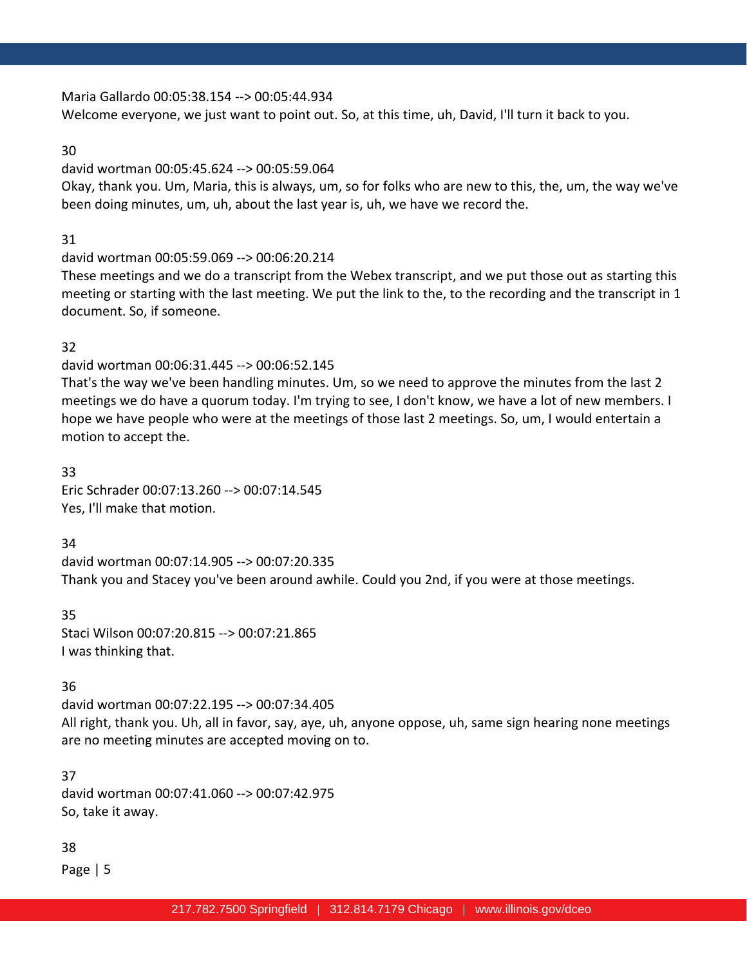Maria Gallardo 00:05:38.154 --> 00:05:44.934

Welcome everyone, we just want to point out. So, at this time, uh, David, I'll turn it back to you.

#### 30

### david wortman 00:05:45.624 --> 00:05:59.064

Okay, thank you. Um, Maria, this is always, um, so for folks who are new to this, the, um, the way we've been doing minutes, um, uh, about the last year is, uh, we have we record the.

# 31

## david wortman 00:05:59.069 --> 00:06:20.214

These meetings and we do a transcript from the Webex transcript, and we put those out as starting this meeting or starting with the last meeting. We put the link to the, to the recording and the transcript in 1 document. So, if someone.

## 32

# david wortman 00:06:31.445 --> 00:06:52.145

That's the way we've been handling minutes. Um, so we need to approve the minutes from the last 2 meetings we do have a quorum today. I'm trying to see, I don't know, we have a lot of new members. I hope we have people who were at the meetings of those last 2 meetings. So, um, I would entertain a motion to accept the.

33 Eric Schrader 00:07:13.260 --> 00:07:14.545 Yes, I'll make that motion.

# 34

david wortman 00:07:14.905 --> 00:07:20.335 Thank you and Stacey you've been around awhile. Could you 2nd, if you were at those meetings.

35 Staci Wilson 00:07:20.815 --> 00:07:21.865 I was thinking that.

# 36

david wortman 00:07:22.195 --> 00:07:34.405 All right, thank you. Uh, all in favor, say, aye, uh, anyone oppose, uh, same sign hearing none meetings are no meeting minutes are accepted moving on to.

37 david wortman 00:07:41.060 --> 00:07:42.975 So, take it away.

# 38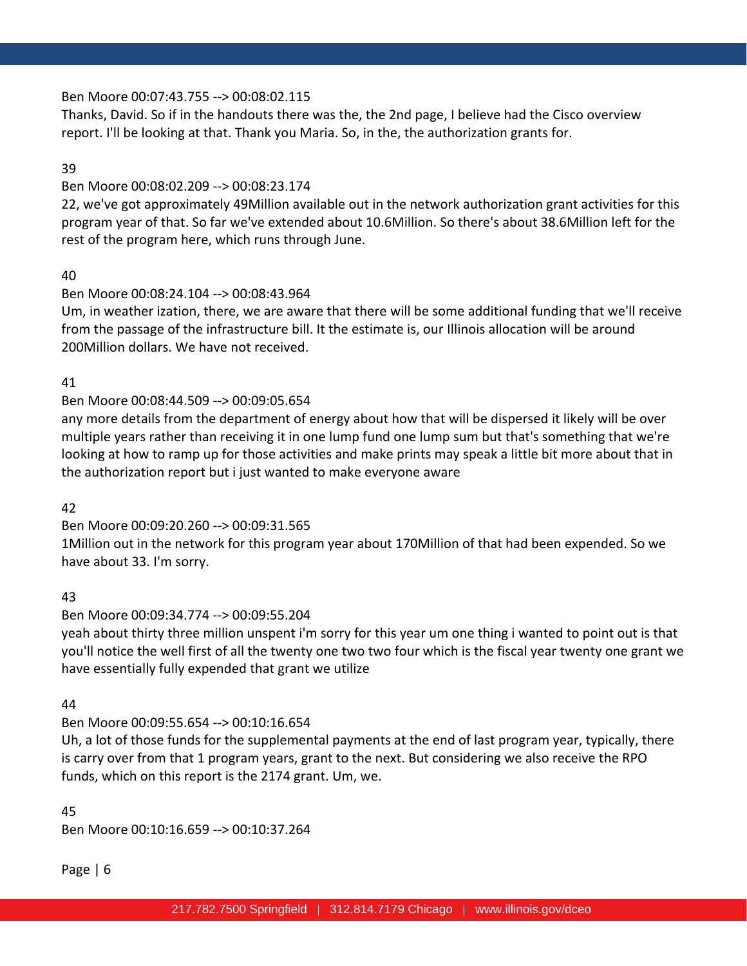## Ben Moore 00:07:43.755 --> 00:08:02.115

Thanks, David. So if in the handouts there was the, the 2nd page, I believe had the Cisco overview report. I'll be looking at that. Thank you Maria. So, in the, the authorization grants for.

### 39

## Ben Moore 00:08:02.209 --> 00:08:23.174

22, we've got approximately 49Million available out in the network authorization grant activities for this program year of that. So far we've extended about 10.6Million. So there's about 38.6Million left for the rest of the program here, which runs through June.

## 40

## Ben Moore 00:08:24.104 --> 00:08:43.964

Um, in weather ization, there, we are aware that there will be some additional funding that we'll receive from the passage of the infrastructure bill. It the estimate is, our Illinois allocation will be around 200Million dollars. We have not received.

## 41

# Ben Moore 00:08:44.509 --> 00:09:05.654

any more details from the department of energy about how that will be dispersed it likely will be over multiple years rather than receiving it in one lump fund one lump sum but that's something that we're looking at how to ramp up for those activities and make prints may speak a little bit more about that in the authorization report but i just wanted to make everyone aware

### 42

# Ben Moore 00:09:20.260 --> 00:09:31.565

1Million out in the network for this program year about 170Million of that had been expended. So we have about 33. I'm sorry.

### 43

# Ben Moore 00:09:34.774 --> 00:09:55.204

yeah about thirty three million unspent i'm sorry for this year um one thing i wanted to point out is that you'll notice the well first of all the twenty one two two four which is the fiscal year twenty one grant we have essentially fully expended that grant we utilize

### 44

# Ben Moore 00:09:55.654 --> 00:10:16.654

Uh, a lot of those funds for the supplemental payments at the end of last program year, typically, there is carry over from that 1 program years, grant to the next. But considering we also receive the RPO funds, which on this report is the 2174 grant. Um, we.

### 45

Ben Moore 00:10:16.659 --> 00:10:37.264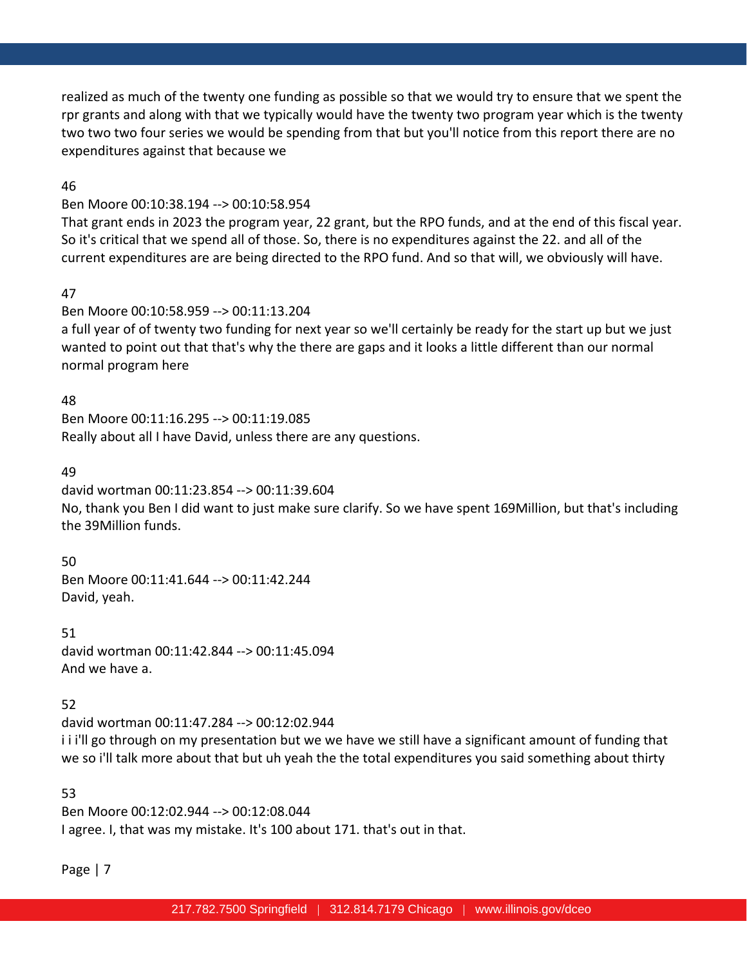realized as much of the twenty one funding as possible so that we would try to ensure that we spent the rpr grants and along with that we typically would have the twenty two program year which is the twenty two two two four series we would be spending from that but you'll notice from this report there are no expenditures against that because we

46

## Ben Moore 00:10:38.194 --> 00:10:58.954

That grant ends in 2023 the program year, 22 grant, but the RPO funds, and at the end of this fiscal year. So it's critical that we spend all of those. So, there is no expenditures against the 22. and all of the current expenditures are are being directed to the RPO fund. And so that will, we obviously will have.

### 47

## Ben Moore 00:10:58.959 --> 00:11:13.204

a full year of of twenty two funding for next year so we'll certainly be ready for the start up but we just wanted to point out that that's why the there are gaps and it looks a little different than our normal normal program here

### 48

Ben Moore 00:11:16.295 --> 00:11:19.085 Really about all I have David, unless there are any questions.

#### 49

david wortman 00:11:23.854 --> 00:11:39.604 No, thank you Ben I did want to just make sure clarify. So we have spent 169Million, but that's including the 39Million funds.

50

Ben Moore 00:11:41.644 --> 00:11:42.244 David, yeah.

51 david wortman 00:11:42.844 --> 00:11:45.094 And we have a.

### 52

david wortman 00:11:47.284 --> 00:12:02.944 i i i'll go through on my presentation but we we have we still have a significant amount of funding that we so i'll talk more about that but uh yeah the the total expenditures you said something about thirty

53

Ben Moore 00:12:02.944 --> 00:12:08.044 I agree. I, that was my mistake. It's 100 about 171. that's out in that.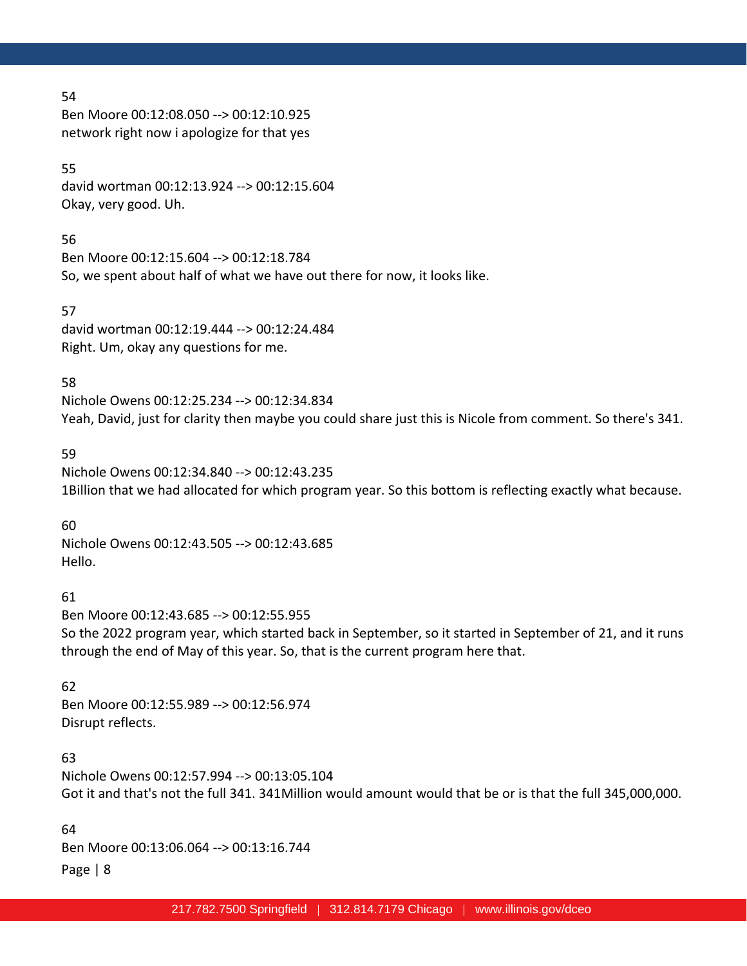Ben Moore 00:12:08.050 --> 00:12:10.925 network right now i apologize for that yes

### 55

david wortman 00:12:13.924 --> 00:12:15.604 Okay, very good. Uh.

# 56

Ben Moore 00:12:15.604 --> 00:12:18.784 So, we spent about half of what we have out there for now, it looks like.

# 57

david wortman 00:12:19.444 --> 00:12:24.484 Right. Um, okay any questions for me.

# 58

Nichole Owens 00:12:25.234 --> 00:12:34.834 Yeah, David, just for clarity then maybe you could share just this is Nicole from comment. So there's 341.

# 59

Nichole Owens 00:12:34.840 --> 00:12:43.235 1Billion that we had allocated for which program year. So this bottom is reflecting exactly what because.

# 60

Nichole Owens 00:12:43.505 --> 00:12:43.685 Hello.

# 61

Ben Moore 00:12:43.685 --> 00:12:55.955 So the 2022 program year, which started back in September, so it started in September of 21, and it runs through the end of May of this year. So, that is the current program here that.

# 62

Ben Moore 00:12:55.989 --> 00:12:56.974 Disrupt reflects.

# 63

Nichole Owens 00:12:57.994 --> 00:13:05.104 Got it and that's not the full 341. 341Million would amount would that be or is that the full 345,000,000.

Page | 8 64 Ben Moore 00:13:06.064 --> 00:13:16.744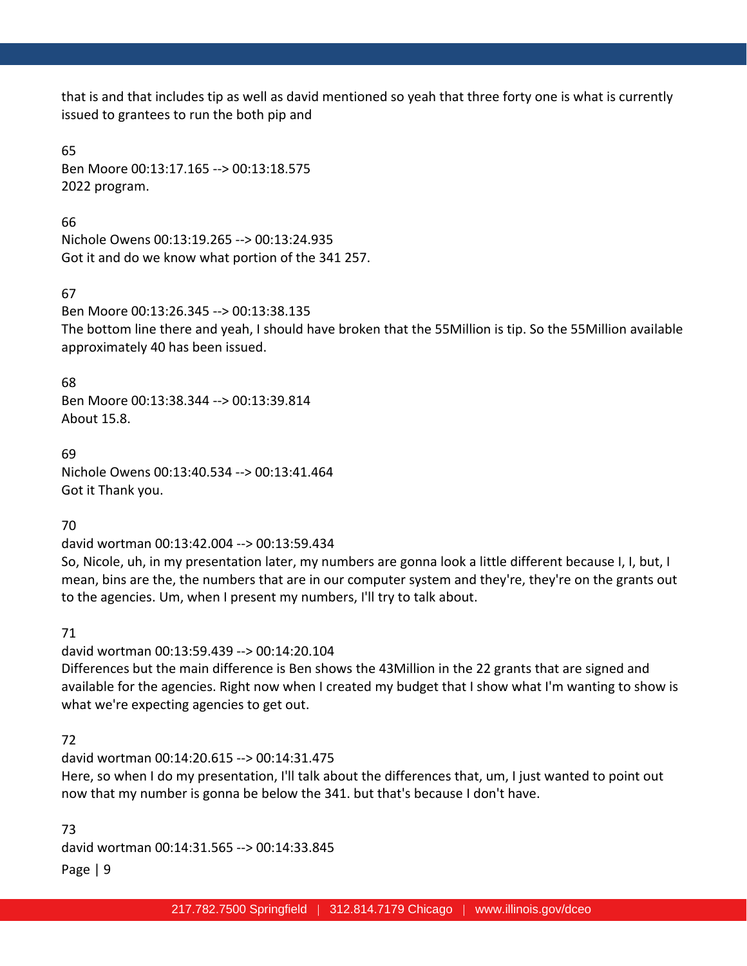that is and that includes tip as well as david mentioned so yeah that three forty one is what is currently issued to grantees to run the both pip and

## 65

Ben Moore 00:13:17.165 --> 00:13:18.575 2022 program.

66

Nichole Owens 00:13:19.265 --> 00:13:24.935 Got it and do we know what portion of the 341 257.

# 67

Ben Moore 00:13:26.345 --> 00:13:38.135

The bottom line there and yeah, I should have broken that the 55Million is tip. So the 55Million available approximately 40 has been issued.

# 68

Ben Moore 00:13:38.344 --> 00:13:39.814 About 15.8.

69 Nichole Owens 00:13:40.534 --> 00:13:41.464 Got it Thank you.

70

david wortman 00:13:42.004 --> 00:13:59.434

So, Nicole, uh, in my presentation later, my numbers are gonna look a little different because I, I, but, I mean, bins are the, the numbers that are in our computer system and they're, they're on the grants out to the agencies. Um, when I present my numbers, I'll try to talk about.

71

david wortman 00:13:59.439 --> 00:14:20.104 Differences but the main difference is Ben shows the 43Million in the 22 grants that are signed and available for the agencies. Right now when I created my budget that I show what I'm wanting to show is what we're expecting agencies to get out.

# 72

david wortman 00:14:20.615 --> 00:14:31.475 Here, so when I do my presentation, I'll talk about the differences that, um, I just wanted to point out now that my number is gonna be below the 341. but that's because I don't have.

Page | 9 73 david wortman 00:14:31.565 --> 00:14:33.845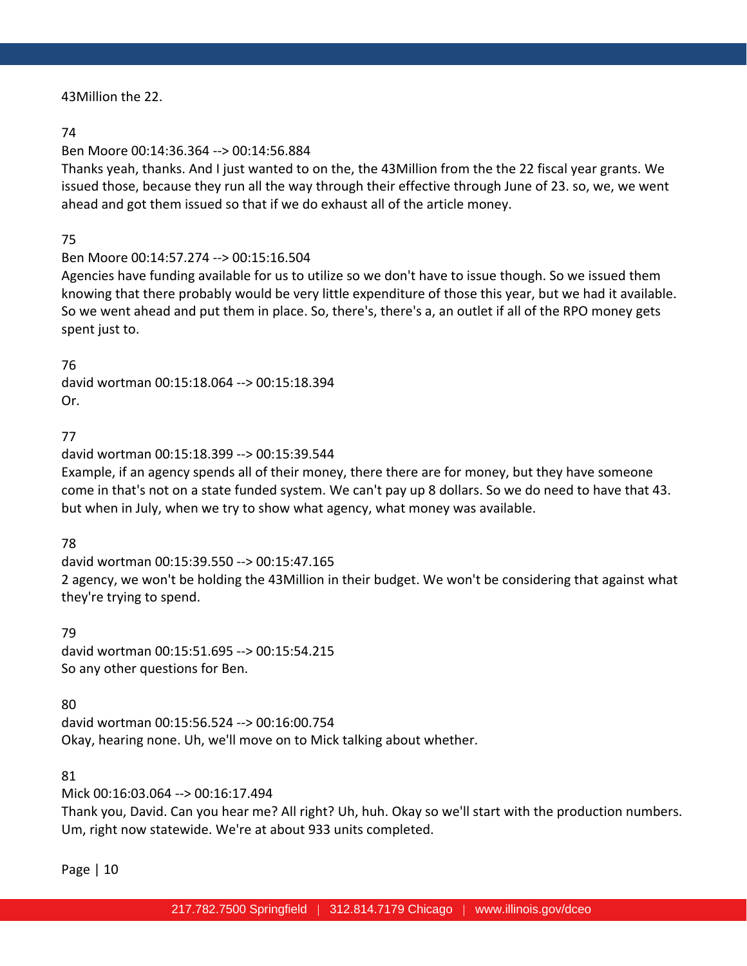43Million the 22.

## 74

# Ben Moore 00:14:36.364 --> 00:14:56.884

Thanks yeah, thanks. And I just wanted to on the, the 43Million from the the 22 fiscal year grants. We issued those, because they run all the way through their effective through June of 23. so, we, we went ahead and got them issued so that if we do exhaust all of the article money.

# 75

# Ben Moore 00:14:57.274 --> 00:15:16.504

Agencies have funding available for us to utilize so we don't have to issue though. So we issued them knowing that there probably would be very little expenditure of those this year, but we had it available. So we went ahead and put them in place. So, there's, there's a, an outlet if all of the RPO money gets spent just to.

# 76

david wortman 00:15:18.064 --> 00:15:18.394 Or.

# 77

# david wortman 00:15:18.399 --> 00:15:39.544

Example, if an agency spends all of their money, there there are for money, but they have someone come in that's not on a state funded system. We can't pay up 8 dollars. So we do need to have that 43. but when in July, when we try to show what agency, what money was available.

# 78

david wortman 00:15:39.550 --> 00:15:47.165 2 agency, we won't be holding the 43Million in their budget. We won't be considering that against what they're trying to spend.

# 79

david wortman 00:15:51.695 --> 00:15:54.215 So any other questions for Ben.

# 80

david wortman 00:15:56.524 --> 00:16:00.754 Okay, hearing none. Uh, we'll move on to Mick talking about whether.

# 81

# Mick 00:16:03.064 --> 00:16:17.494

Thank you, David. Can you hear me? All right? Uh, huh. Okay so we'll start with the production numbers. Um, right now statewide. We're at about 933 units completed.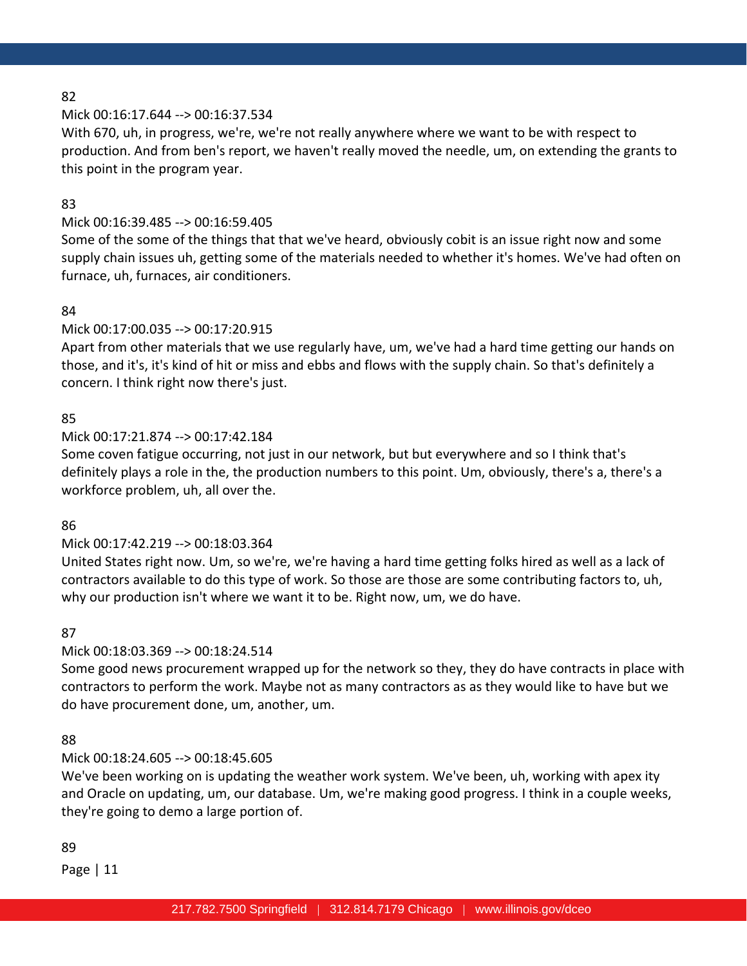### Mick 00:16:17.644 --> 00:16:37.534

With 670, uh, in progress, we're, we're not really anywhere where we want to be with respect to production. And from ben's report, we haven't really moved the needle, um, on extending the grants to this point in the program year.

### 83

# Mick 00:16:39.485 --> 00:16:59.405

Some of the some of the things that that we've heard, obviously cobit is an issue right now and some supply chain issues uh, getting some of the materials needed to whether it's homes. We've had often on furnace, uh, furnaces, air conditioners.

## 84

### Mick 00:17:00.035 --> 00:17:20.915

Apart from other materials that we use regularly have, um, we've had a hard time getting our hands on those, and it's, it's kind of hit or miss and ebbs and flows with the supply chain. So that's definitely a concern. I think right now there's just.

## 85

# Mick 00:17:21.874 --> 00:17:42.184

Some coven fatigue occurring, not just in our network, but but everywhere and so I think that's definitely plays a role in the, the production numbers to this point. Um, obviously, there's a, there's a workforce problem, uh, all over the.

### 86

# Mick 00:17:42.219 --> 00:18:03.364

United States right now. Um, so we're, we're having a hard time getting folks hired as well as a lack of contractors available to do this type of work. So those are those are some contributing factors to, uh, why our production isn't where we want it to be. Right now, um, we do have.

### 87

### Mick 00:18:03.369 --> 00:18:24.514

Some good news procurement wrapped up for the network so they, they do have contracts in place with contractors to perform the work. Maybe not as many contractors as as they would like to have but we do have procurement done, um, another, um.

### 88

# Mick 00:18:24.605 --> 00:18:45.605

We've been working on is updating the weather work system. We've been, uh, working with apex ity and Oracle on updating, um, our database. Um, we're making good progress. I think in a couple weeks, they're going to demo a large portion of.

### 89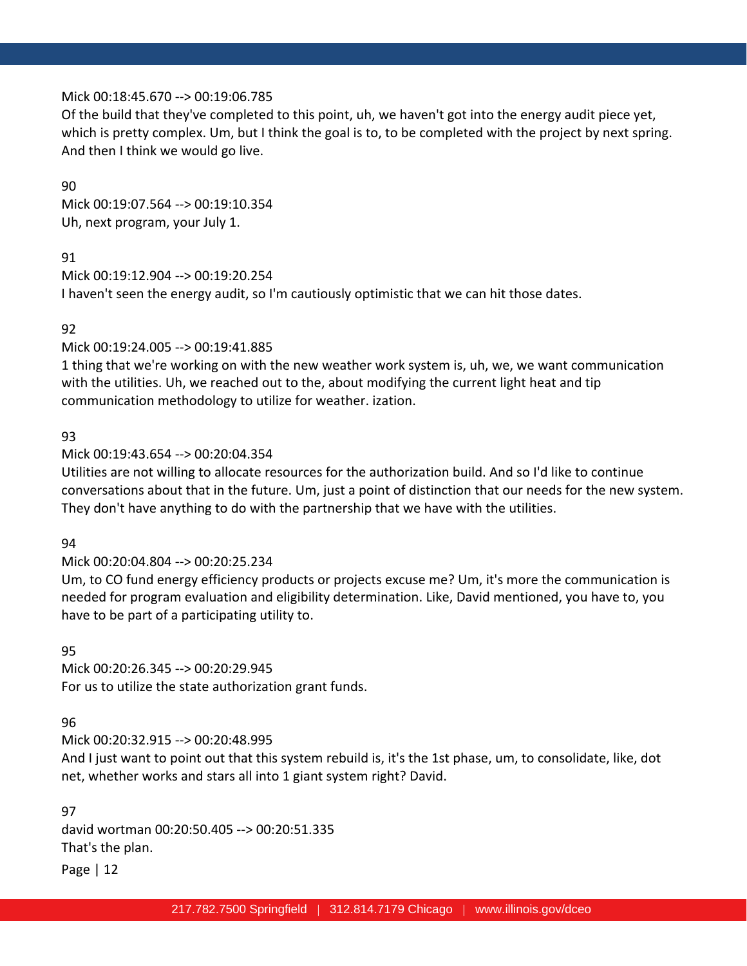### Mick 00:18:45.670 --> 00:19:06.785

Of the build that they've completed to this point, uh, we haven't got into the energy audit piece yet, which is pretty complex. Um, but I think the goal is to, to be completed with the project by next spring. And then I think we would go live.

#### 90

Mick 00:19:07.564 --> 00:19:10.354 Uh, next program, your July 1.

## 91

Mick 00:19:12.904 --> 00:19:20.254 I haven't seen the energy audit, so I'm cautiously optimistic that we can hit those dates.

## 92

Mick 00:19:24.005 --> 00:19:41.885

1 thing that we're working on with the new weather work system is, uh, we, we want communication with the utilities. Uh, we reached out to the, about modifying the current light heat and tip communication methodology to utilize for weather. ization.

## 93

Mick 00:19:43.654 --> 00:20:04.354

Utilities are not willing to allocate resources for the authorization build. And so I'd like to continue conversations about that in the future. Um, just a point of distinction that our needs for the new system. They don't have anything to do with the partnership that we have with the utilities.

### 94

# Mick 00:20:04.804 --> 00:20:25.234

Um, to CO fund energy efficiency products or projects excuse me? Um, it's more the communication is needed for program evaluation and eligibility determination. Like, David mentioned, you have to, you have to be part of a participating utility to.

### 95

Mick 00:20:26.345 --> 00:20:29.945 For us to utilize the state authorization grant funds.

### 96

Mick 00:20:32.915 --> 00:20:48.995

And I just want to point out that this system rebuild is, it's the 1st phase, um, to consolidate, like, dot net, whether works and stars all into 1 giant system right? David.

### 97

david wortman 00:20:50.405 --> 00:20:51.335 That's the plan.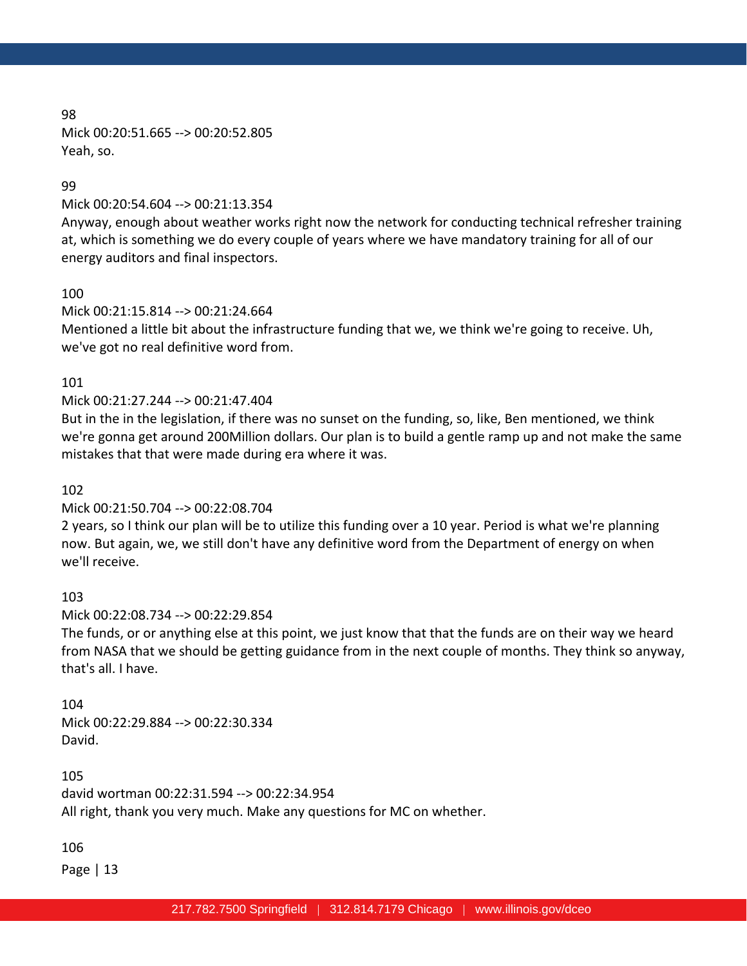98 Mick 00:20:51.665 --> 00:20:52.805 Yeah, so.

#### 99

Mick 00:20:54.604 --> 00:21:13.354

Anyway, enough about weather works right now the network for conducting technical refresher training at, which is something we do every couple of years where we have mandatory training for all of our energy auditors and final inspectors.

### 100

Mick 00:21:15.814 --> 00:21:24.664

Mentioned a little bit about the infrastructure funding that we, we think we're going to receive. Uh, we've got no real definitive word from.

### 101

## Mick 00:21:27.244 --> 00:21:47.404

But in the in the legislation, if there was no sunset on the funding, so, like, Ben mentioned, we think we're gonna get around 200Million dollars. Our plan is to build a gentle ramp up and not make the same mistakes that that were made during era where it was.

#### 102

### Mick 00:21:50.704 --> 00:22:08.704

2 years, so I think our plan will be to utilize this funding over a 10 year. Period is what we're planning now. But again, we, we still don't have any definitive word from the Department of energy on when we'll receive.

#### 103

Mick 00:22:08.734 --> 00:22:29.854

The funds, or or anything else at this point, we just know that that the funds are on their way we heard from NASA that we should be getting guidance from in the next couple of months. They think so anyway, that's all. I have.

#### 104

Mick 00:22:29.884 --> 00:22:30.334 David.

105 david wortman 00:22:31.594 --> 00:22:34.954 All right, thank you very much. Make any questions for MC on whether.

### 106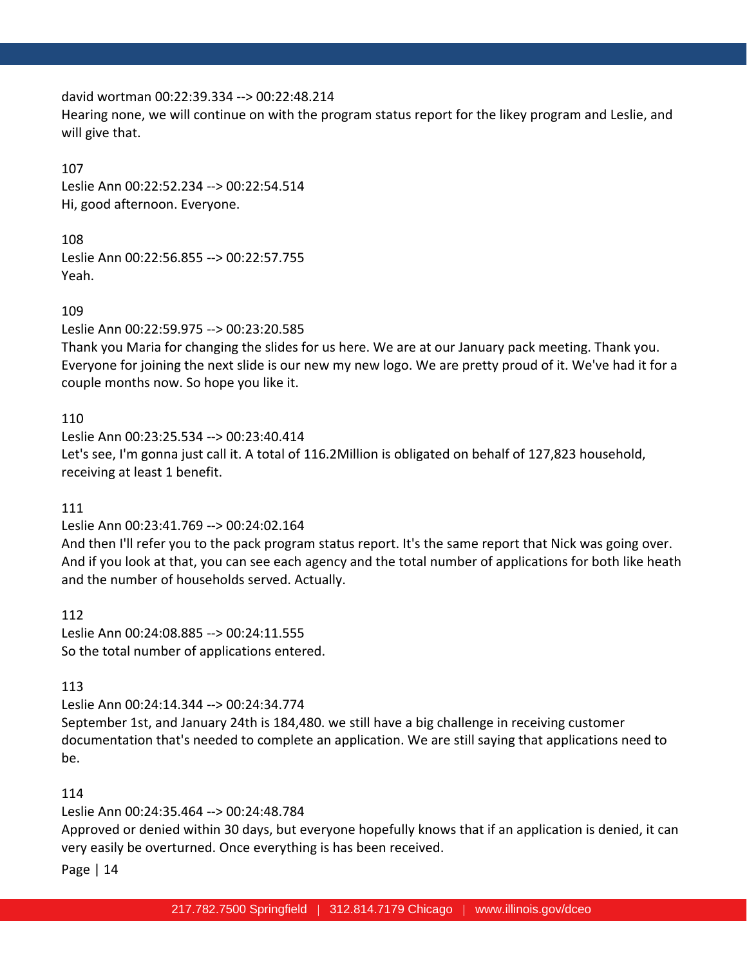### david wortman 00:22:39.334 --> 00:22:48.214

Hearing none, we will continue on with the program status report for the likey program and Leslie, and will give that.

### 107

Leslie Ann 00:22:52.234 --> 00:22:54.514 Hi, good afternoon. Everyone.

## 108

Leslie Ann 00:22:56.855 --> 00:22:57.755 Yeah.

## 109

Leslie Ann 00:22:59.975 --> 00:23:20.585

Thank you Maria for changing the slides for us here. We are at our January pack meeting. Thank you. Everyone for joining the next slide is our new my new logo. We are pretty proud of it. We've had it for a couple months now. So hope you like it.

# 110

Leslie Ann 00:23:25.534 --> 00:23:40.414 Let's see, I'm gonna just call it. A total of 116.2Million is obligated on behalf of 127,823 household, receiving at least 1 benefit.

# 111

# Leslie Ann 00:23:41.769 --> 00:24:02.164

And then I'll refer you to the pack program status report. It's the same report that Nick was going over. And if you look at that, you can see each agency and the total number of applications for both like heath and the number of households served. Actually.

### 112

Leslie Ann 00:24:08.885 --> 00:24:11.555 So the total number of applications entered.

# 113

Leslie Ann 00:24:14.344 --> 00:24:34.774 September 1st, and January 24th is 184,480. we still have a big challenge in receiving customer

documentation that's needed to complete an application. We are still saying that applications need to be.

# 114

# Leslie Ann 00:24:35.464 --> 00:24:48.784

Approved or denied within 30 days, but everyone hopefully knows that if an application is denied, it can very easily be overturned. Once everything is has been received.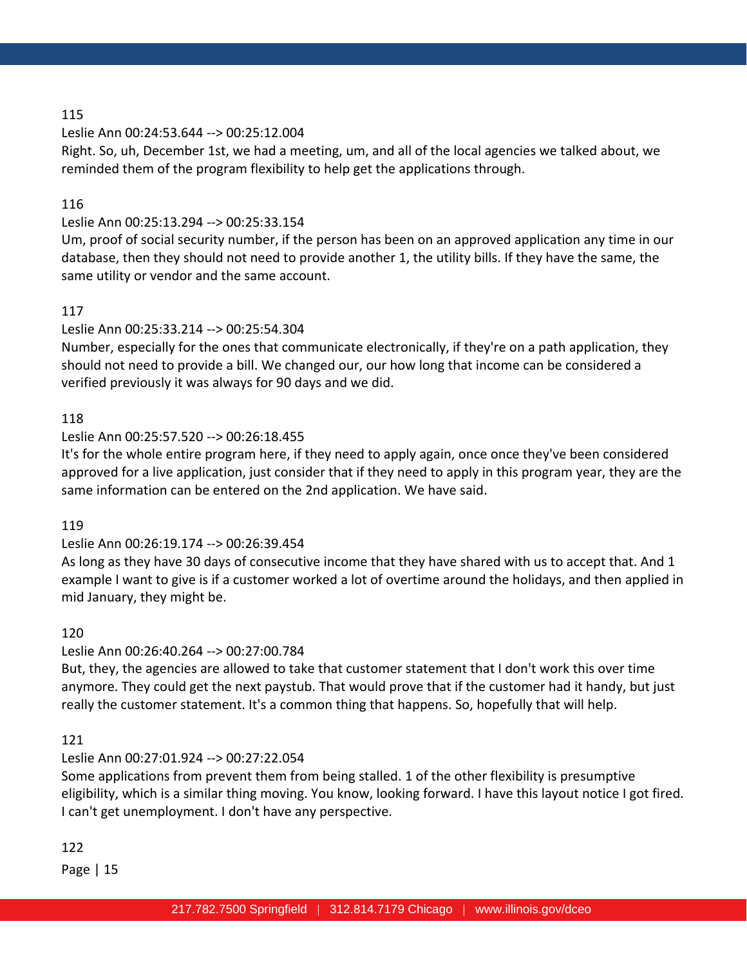## Leslie Ann 00:24:53.644 --> 00:25:12.004

Right. So, uh, December 1st, we had a meeting, um, and all of the local agencies we talked about, we reminded them of the program flexibility to help get the applications through.

## 116

# Leslie Ann 00:25:13.294 --> 00:25:33.154

Um, proof of social security number, if the person has been on an approved application any time in our database, then they should not need to provide another 1, the utility bills. If they have the same, the same utility or vendor and the same account.

## 117

## Leslie Ann 00:25:33.214 --> 00:25:54.304

Number, especially for the ones that communicate electronically, if they're on a path application, they should not need to provide a bill. We changed our, our how long that income can be considered a verified previously it was always for 90 days and we did.

### 118

## Leslie Ann 00:25:57.520 --> 00:26:18.455

It's for the whole entire program here, if they need to apply again, once once they've been considered approved for a live application, just consider that if they need to apply in this program year, they are the same information can be entered on the 2nd application. We have said.

### 119

# Leslie Ann 00:26:19.174 --> 00:26:39.454

As long as they have 30 days of consecutive income that they have shared with us to accept that. And 1 example I want to give is if a customer worked a lot of overtime around the holidays, and then applied in mid January, they might be.

### 120

### Leslie Ann 00:26:40.264 --> 00:27:00.784

But, they, the agencies are allowed to take that customer statement that I don't work this over time anymore. They could get the next paystub. That would prove that if the customer had it handy, but just really the customer statement. It's a common thing that happens. So, hopefully that will help.

### 121

# Leslie Ann 00:27:01.924 --> 00:27:22.054

Some applications from prevent them from being stalled. 1 of the other flexibility is presumptive eligibility, which is a similar thing moving. You know, looking forward. I have this layout notice I got fired. I can't get unemployment. I don't have any perspective.

### 122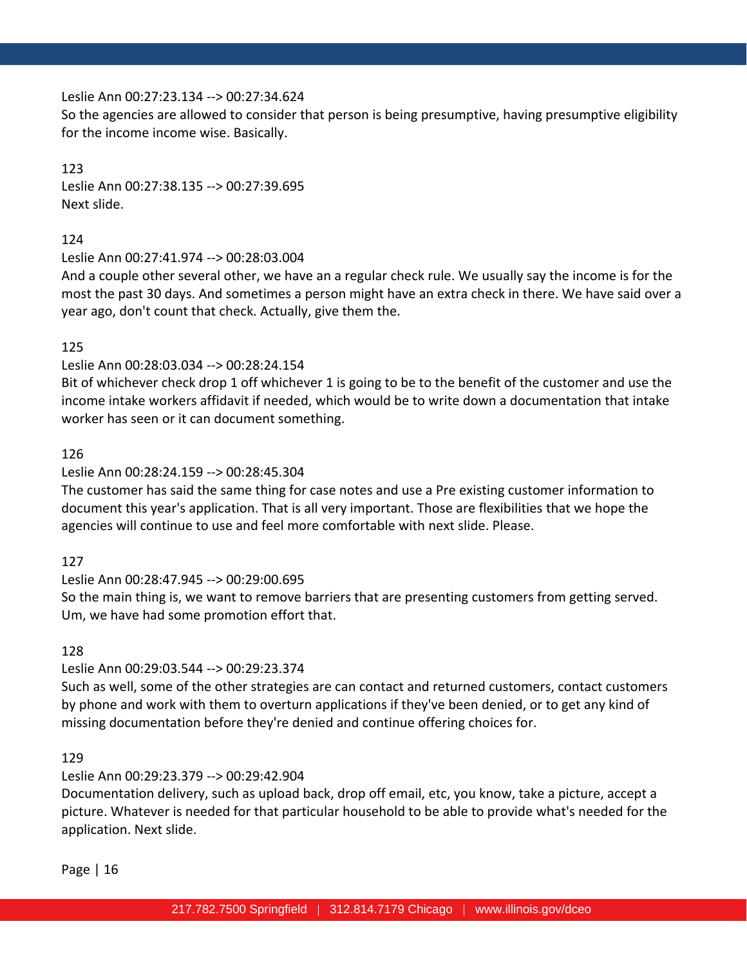## Leslie Ann 00:27:23.134 --> 00:27:34.624

So the agencies are allowed to consider that person is being presumptive, having presumptive eligibility for the income income wise. Basically.

## 123

Leslie Ann 00:27:38.135 --> 00:27:39.695 Next slide.

# 124

# Leslie Ann 00:27:41.974 --> 00:28:03.004

And a couple other several other, we have an a regular check rule. We usually say the income is for the most the past 30 days. And sometimes a person might have an extra check in there. We have said over a year ago, don't count that check. Actually, give them the.

# 125

# Leslie Ann 00:28:03.034 --> 00:28:24.154

Bit of whichever check drop 1 off whichever 1 is going to be to the benefit of the customer and use the income intake workers affidavit if needed, which would be to write down a documentation that intake worker has seen or it can document something.

# 126

# Leslie Ann 00:28:24.159 --> 00:28:45.304

The customer has said the same thing for case notes and use a Pre existing customer information to document this year's application. That is all very important. Those are flexibilities that we hope the agencies will continue to use and feel more comfortable with next slide. Please.

# 127

# Leslie Ann 00:28:47.945 --> 00:29:00.695

So the main thing is, we want to remove barriers that are presenting customers from getting served. Um, we have had some promotion effort that.

# 128

# Leslie Ann 00:29:03.544 --> 00:29:23.374

Such as well, some of the other strategies are can contact and returned customers, contact customers by phone and work with them to overturn applications if they've been denied, or to get any kind of missing documentation before they're denied and continue offering choices for.

# 129

# Leslie Ann 00:29:23.379 --> 00:29:42.904

Documentation delivery, such as upload back, drop off email, etc, you know, take a picture, accept a picture. Whatever is needed for that particular household to be able to provide what's needed for the application. Next slide.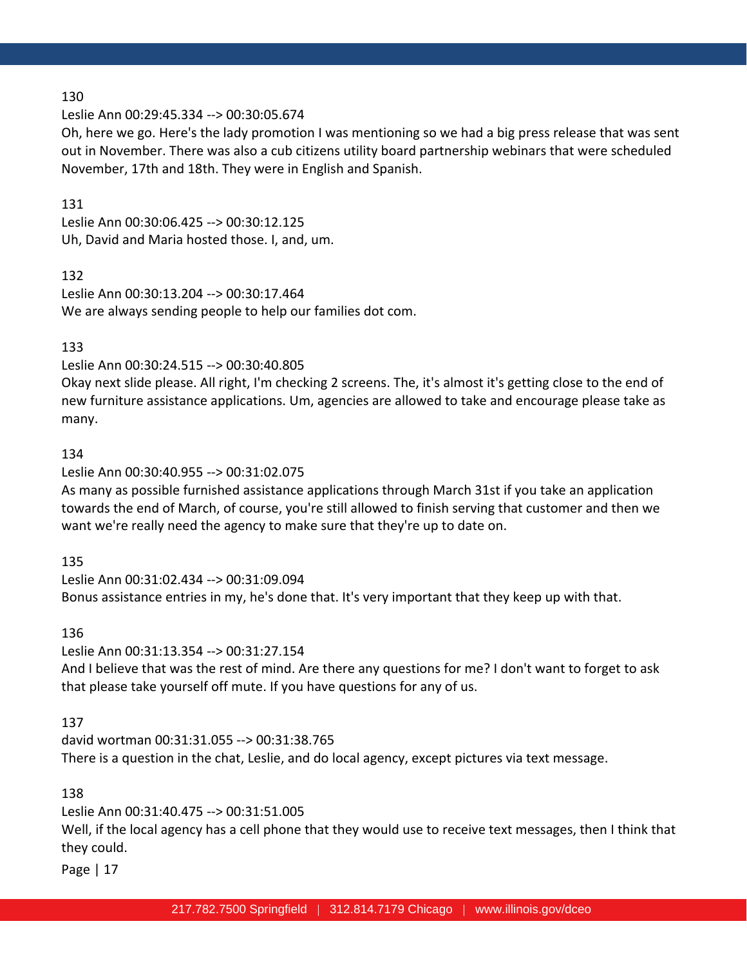Leslie Ann 00:29:45.334 --> 00:30:05.674

Oh, here we go. Here's the lady promotion I was mentioning so we had a big press release that was sent out in November. There was also a cub citizens utility board partnership webinars that were scheduled November, 17th and 18th. They were in English and Spanish.

### 131

Leslie Ann 00:30:06.425 --> 00:30:12.125 Uh, David and Maria hosted those. I, and, um.

#### 132

Leslie Ann 00:30:13.204 --> 00:30:17.464 We are always sending people to help our families dot com.

### 133

#### Leslie Ann 00:30:24.515 --> 00:30:40.805

Okay next slide please. All right, I'm checking 2 screens. The, it's almost it's getting close to the end of new furniture assistance applications. Um, agencies are allowed to take and encourage please take as many.

#### 134

### Leslie Ann 00:30:40.955 --> 00:31:02.075

As many as possible furnished assistance applications through March 31st if you take an application towards the end of March, of course, you're still allowed to finish serving that customer and then we want we're really need the agency to make sure that they're up to date on.

#### 135

Leslie Ann 00:31:02.434 --> 00:31:09.094 Bonus assistance entries in my, he's done that. It's very important that they keep up with that.

#### 136

### Leslie Ann 00:31:13.354 --> 00:31:27.154

And I believe that was the rest of mind. Are there any questions for me? I don't want to forget to ask that please take yourself off mute. If you have questions for any of us.

### 137

david wortman 00:31:31.055 --> 00:31:38.765 There is a question in the chat, Leslie, and do local agency, except pictures via text message.

### 138

# Leslie Ann 00:31:40.475 --> 00:31:51.005 Well, if the local agency has a cell phone that they would use to receive text messages, then I think that they could.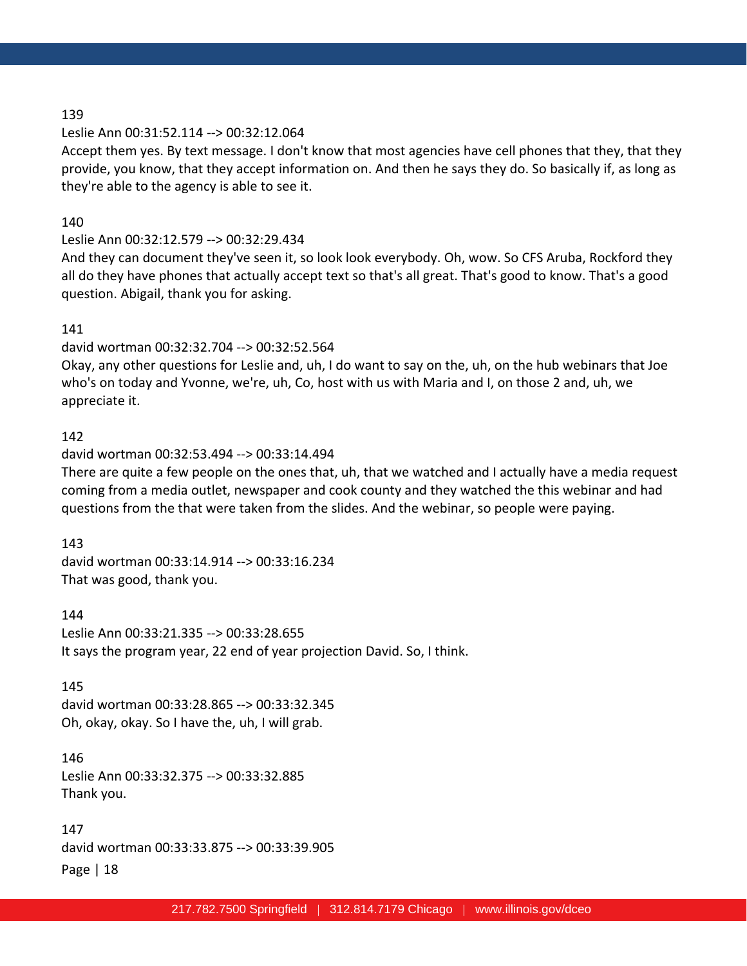#### Leslie Ann 00:31:52.114 --> 00:32:12.064

Accept them yes. By text message. I don't know that most agencies have cell phones that they, that they provide, you know, that they accept information on. And then he says they do. So basically if, as long as they're able to the agency is able to see it.

#### 140

### Leslie Ann 00:32:12.579 --> 00:32:29.434

And they can document they've seen it, so look look everybody. Oh, wow. So CFS Aruba, Rockford they all do they have phones that actually accept text so that's all great. That's good to know. That's a good question. Abigail, thank you for asking.

#### 141

#### david wortman 00:32:32.704 --> 00:32:52.564

Okay, any other questions for Leslie and, uh, I do want to say on the, uh, on the hub webinars that Joe who's on today and Yvonne, we're, uh, Co, host with us with Maria and I, on those 2 and, uh, we appreciate it.

### 142

#### david wortman 00:32:53.494 --> 00:33:14.494

There are quite a few people on the ones that, uh, that we watched and I actually have a media request coming from a media outlet, newspaper and cook county and they watched the this webinar and had questions from the that were taken from the slides. And the webinar, so people were paying.

#### 143

david wortman 00:33:14.914 --> 00:33:16.234 That was good, thank you.

144 Leslie Ann 00:33:21.335 --> 00:33:28.655 It says the program year, 22 end of year projection David. So, I think.

#### 145

david wortman 00:33:28.865 --> 00:33:32.345 Oh, okay, okay. So I have the, uh, I will grab.

#### 146

Leslie Ann 00:33:32.375 --> 00:33:32.885 Thank you.

Page | 18 147 david wortman 00:33:33.875 --> 00:33:39.905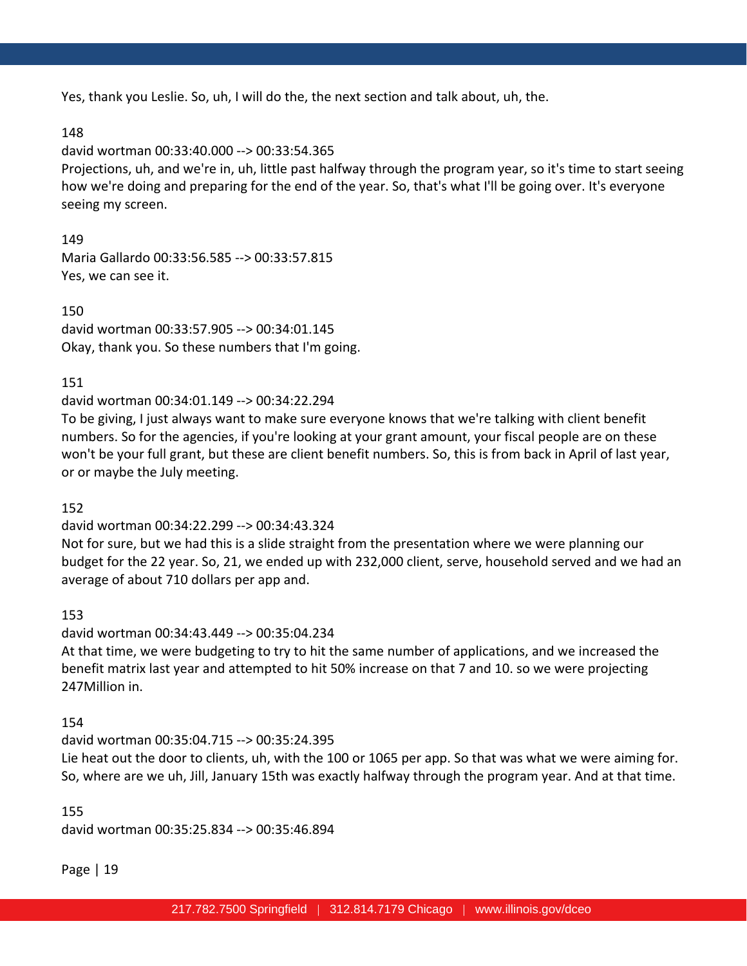Yes, thank you Leslie. So, uh, I will do the, the next section and talk about, uh, the.

### 148

david wortman 00:33:40.000 --> 00:33:54.365

Projections, uh, and we're in, uh, little past halfway through the program year, so it's time to start seeing how we're doing and preparing for the end of the year. So, that's what I'll be going over. It's everyone seeing my screen.

149

Maria Gallardo 00:33:56.585 --> 00:33:57.815 Yes, we can see it.

150 david wortman 00:33:57.905 --> 00:34:01.145 Okay, thank you. So these numbers that I'm going.

# 151

david wortman 00:34:01.149 --> 00:34:22.294

To be giving, I just always want to make sure everyone knows that we're talking with client benefit numbers. So for the agencies, if you're looking at your grant amount, your fiscal people are on these won't be your full grant, but these are client benefit numbers. So, this is from back in April of last year, or or maybe the July meeting.

# 152

### david wortman 00:34:22.299 --> 00:34:43.324

Not for sure, but we had this is a slide straight from the presentation where we were planning our budget for the 22 year. So, 21, we ended up with 232,000 client, serve, household served and we had an average of about 710 dollars per app and.

# 153

david wortman 00:34:43.449 --> 00:35:04.234 At that time, we were budgeting to try to hit the same number of applications, and we increased the benefit matrix last year and attempted to hit 50% increase on that 7 and 10. so we were projecting 247Million in.

# 154

### david wortman 00:35:04.715 --> 00:35:24.395

Lie heat out the door to clients, uh, with the 100 or 1065 per app. So that was what we were aiming for. So, where are we uh, Jill, January 15th was exactly halfway through the program year. And at that time.

# 155

david wortman 00:35:25.834 --> 00:35:46.894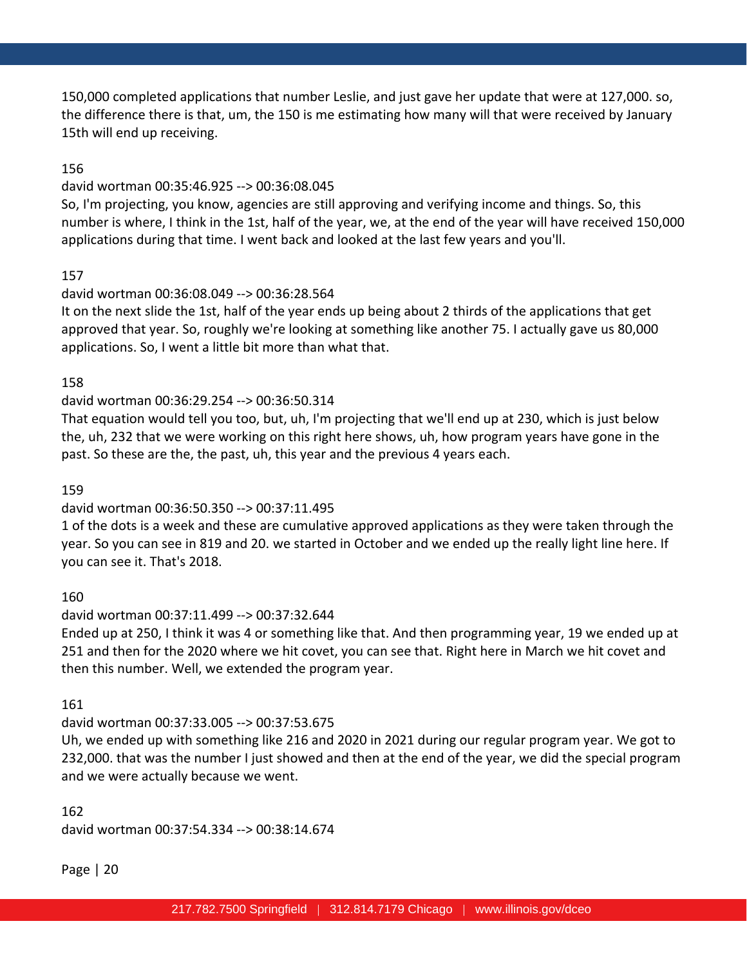150,000 completed applications that number Leslie, and just gave her update that were at 127,000. so, the difference there is that, um, the 150 is me estimating how many will that were received by January 15th will end up receiving.

## 156

#### david wortman 00:35:46.925 --> 00:36:08.045

So, I'm projecting, you know, agencies are still approving and verifying income and things. So, this number is where, I think in the 1st, half of the year, we, at the end of the year will have received 150,000 applications during that time. I went back and looked at the last few years and you'll.

### 157

### david wortman 00:36:08.049 --> 00:36:28.564

It on the next slide the 1st, half of the year ends up being about 2 thirds of the applications that get approved that year. So, roughly we're looking at something like another 75. I actually gave us 80,000 applications. So, I went a little bit more than what that.

### 158

### david wortman 00:36:29.254 --> 00:36:50.314

That equation would tell you too, but, uh, I'm projecting that we'll end up at 230, which is just below the, uh, 232 that we were working on this right here shows, uh, how program years have gone in the past. So these are the, the past, uh, this year and the previous 4 years each.

#### 159

### david wortman 00:36:50.350 --> 00:37:11.495

1 of the dots is a week and these are cumulative approved applications as they were taken through the year. So you can see in 819 and 20. we started in October and we ended up the really light line here. If you can see it. That's 2018.

### 160

### david wortman 00:37:11.499 --> 00:37:32.644

Ended up at 250, I think it was 4 or something like that. And then programming year, 19 we ended up at 251 and then for the 2020 where we hit covet, you can see that. Right here in March we hit covet and then this number. Well, we extended the program year.

### 161

### david wortman 00:37:33.005 --> 00:37:53.675

Uh, we ended up with something like 216 and 2020 in 2021 during our regular program year. We got to 232,000. that was the number I just showed and then at the end of the year, we did the special program and we were actually because we went.

# 162 david wortman 00:37:54.334 --> 00:38:14.674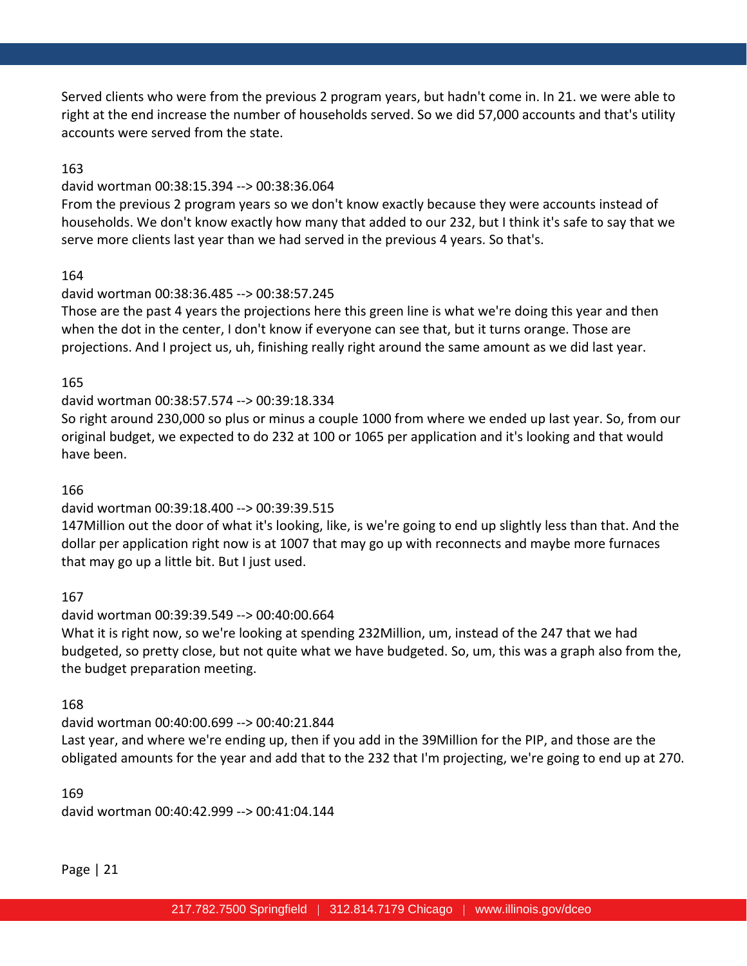Served clients who were from the previous 2 program years, but hadn't come in. In 21. we were able to right at the end increase the number of households served. So we did 57,000 accounts and that's utility accounts were served from the state.

## 163

#### david wortman 00:38:15.394 --> 00:38:36.064

From the previous 2 program years so we don't know exactly because they were accounts instead of households. We don't know exactly how many that added to our 232, but I think it's safe to say that we serve more clients last year than we had served in the previous 4 years. So that's.

### 164

### david wortman 00:38:36.485 --> 00:38:57.245

Those are the past 4 years the projections here this green line is what we're doing this year and then when the dot in the center, I don't know if everyone can see that, but it turns orange. Those are projections. And I project us, uh, finishing really right around the same amount as we did last year.

### 165

### david wortman 00:38:57.574 --> 00:39:18.334

So right around 230,000 so plus or minus a couple 1000 from where we ended up last year. So, from our original budget, we expected to do 232 at 100 or 1065 per application and it's looking and that would have been.

### 166

### david wortman 00:39:18.400 --> 00:39:39.515

147Million out the door of what it's looking, like, is we're going to end up slightly less than that. And the dollar per application right now is at 1007 that may go up with reconnects and maybe more furnaces that may go up a little bit. But I just used.

### 167

### david wortman 00:39:39.549 --> 00:40:00.664

What it is right now, so we're looking at spending 232Million, um, instead of the 247 that we had budgeted, so pretty close, but not quite what we have budgeted. So, um, this was a graph also from the, the budget preparation meeting.

### 168

david wortman 00:40:00.699 --> 00:40:21.844 Last year, and where we're ending up, then if you add in the 39Million for the PIP, and those are the obligated amounts for the year and add that to the 232 that I'm projecting, we're going to end up at 270.

#### 169

david wortman 00:40:42.999 --> 00:41:04.144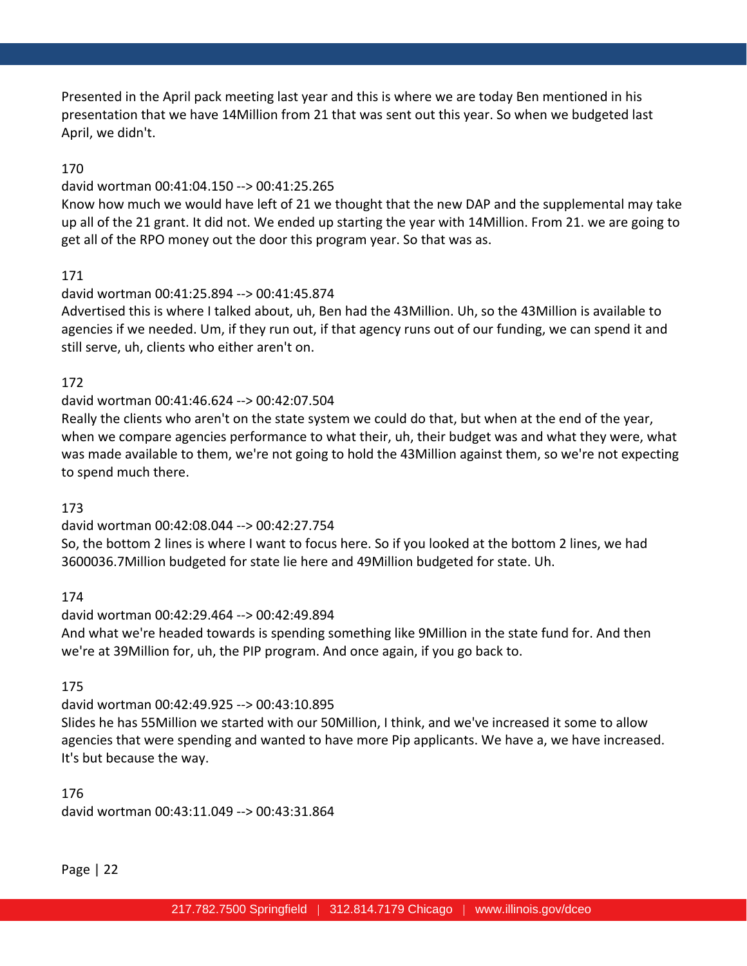Presented in the April pack meeting last year and this is where we are today Ben mentioned in his presentation that we have 14Million from 21 that was sent out this year. So when we budgeted last April, we didn't.

# 170

### david wortman 00:41:04.150 --> 00:41:25.265

Know how much we would have left of 21 we thought that the new DAP and the supplemental may take up all of the 21 grant. It did not. We ended up starting the year with 14Million. From 21. we are going to get all of the RPO money out the door this program year. So that was as.

## 171

## david wortman 00:41:25.894 --> 00:41:45.874

Advertised this is where I talked about, uh, Ben had the 43Million. Uh, so the 43Million is available to agencies if we needed. Um, if they run out, if that agency runs out of our funding, we can spend it and still serve, uh, clients who either aren't on.

## 172

## david wortman 00:41:46.624 --> 00:42:07.504

Really the clients who aren't on the state system we could do that, but when at the end of the year, when we compare agencies performance to what their, uh, their budget was and what they were, what was made available to them, we're not going to hold the 43Million against them, so we're not expecting to spend much there.

### 173

# david wortman 00:42:08.044 --> 00:42:27.754

So, the bottom 2 lines is where I want to focus here. So if you looked at the bottom 2 lines, we had 3600036.7Million budgeted for state lie here and 49Million budgeted for state. Uh.

# 174

david wortman 00:42:29.464 --> 00:42:49.894 And what we're headed towards is spending something like 9Million in the state fund for. And then we're at 39Million for, uh, the PIP program. And once again, if you go back to.

# 175

# david wortman 00:42:49.925 --> 00:43:10.895

Slides he has 55Million we started with our 50Million, I think, and we've increased it some to allow agencies that were spending and wanted to have more Pip applicants. We have a, we have increased. It's but because the way.

176 david wortman 00:43:11.049 --> 00:43:31.864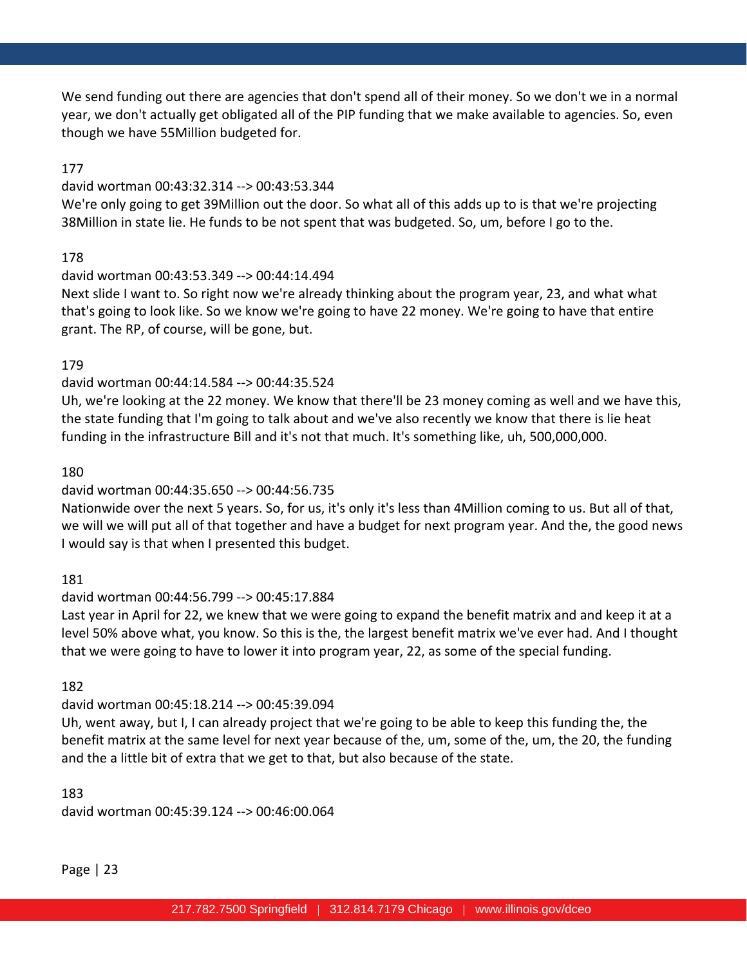We send funding out there are agencies that don't spend all of their money. So we don't we in a normal year, we don't actually get obligated all of the PIP funding that we make available to agencies. So, even though we have 55Million budgeted for.

### 177

#### david wortman 00:43:32.314 --> 00:43:53.344

We're only going to get 39Million out the door. So what all of this adds up to is that we're projecting 38Million in state lie. He funds to be not spent that was budgeted. So, um, before I go to the.

## 178

### david wortman 00:43:53.349 --> 00:44:14.494

Next slide I want to. So right now we're already thinking about the program year, 23, and what what that's going to look like. So we know we're going to have 22 money. We're going to have that entire grant. The RP, of course, will be gone, but.

## 179

## david wortman 00:44:14.584 --> 00:44:35.524

Uh, we're looking at the 22 money. We know that there'll be 23 money coming as well and we have this, the state funding that I'm going to talk about and we've also recently we know that there is lie heat funding in the infrastructure Bill and it's not that much. It's something like, uh, 500,000,000.

### 180

# david wortman 00:44:35.650 --> 00:44:56.735

Nationwide over the next 5 years. So, for us, it's only it's less than 4Million coming to us. But all of that, we will we will put all of that together and have a budget for next program year. And the, the good news I would say is that when I presented this budget.

### 181

# david wortman 00:44:56.799 --> 00:45:17.884

Last year in April for 22, we knew that we were going to expand the benefit matrix and and keep it at a level 50% above what, you know. So this is the, the largest benefit matrix we've ever had. And I thought that we were going to have to lower it into program year, 22, as some of the special funding.

### 182

# david wortman 00:45:18.214 --> 00:45:39.094

Uh, went away, but I, I can already project that we're going to be able to keep this funding the, the benefit matrix at the same level for next year because of the, um, some of the, um, the 20, the funding and the a little bit of extra that we get to that, but also because of the state.

### 183

david wortman 00:45:39.124 --> 00:46:00.064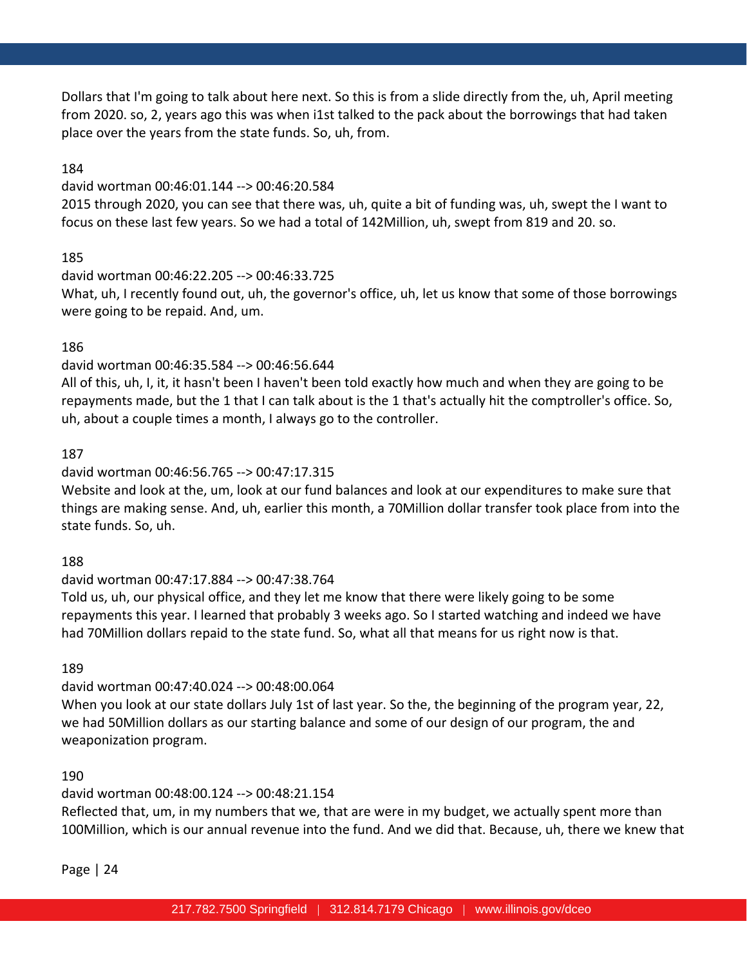Dollars that I'm going to talk about here next. So this is from a slide directly from the, uh, April meeting from 2020. so, 2, years ago this was when i1st talked to the pack about the borrowings that had taken place over the years from the state funds. So, uh, from.

### 184

#### david wortman 00:46:01.144 --> 00:46:20.584

2015 through 2020, you can see that there was, uh, quite a bit of funding was, uh, swept the I want to focus on these last few years. So we had a total of 142Million, uh, swept from 819 and 20. so.

## 185

david wortman 00:46:22.205 --> 00:46:33.725 What, uh, I recently found out, uh, the governor's office, uh, let us know that some of those borrowings were going to be repaid. And, um.

## 186

## david wortman 00:46:35.584 --> 00:46:56.644

All of this, uh, I, it, it hasn't been I haven't been told exactly how much and when they are going to be repayments made, but the 1 that I can talk about is the 1 that's actually hit the comptroller's office. So, uh, about a couple times a month, I always go to the controller.

### 187

# david wortman 00:46:56.765 --> 00:47:17.315

Website and look at the, um, look at our fund balances and look at our expenditures to make sure that things are making sense. And, uh, earlier this month, a 70Million dollar transfer took place from into the state funds. So, uh.

### 188

### david wortman 00:47:17.884 --> 00:47:38.764

Told us, uh, our physical office, and they let me know that there were likely going to be some repayments this year. I learned that probably 3 weeks ago. So I started watching and indeed we have had 70Million dollars repaid to the state fund. So, what all that means for us right now is that.

### 189

# david wortman 00:47:40.024 --> 00:48:00.064

When you look at our state dollars July 1st of last year. So the, the beginning of the program year, 22, we had 50Million dollars as our starting balance and some of our design of our program, the and weaponization program.

### 190

# david wortman 00:48:00.124 --> 00:48:21.154

Reflected that, um, in my numbers that we, that are were in my budget, we actually spent more than 100Million, which is our annual revenue into the fund. And we did that. Because, uh, there we knew that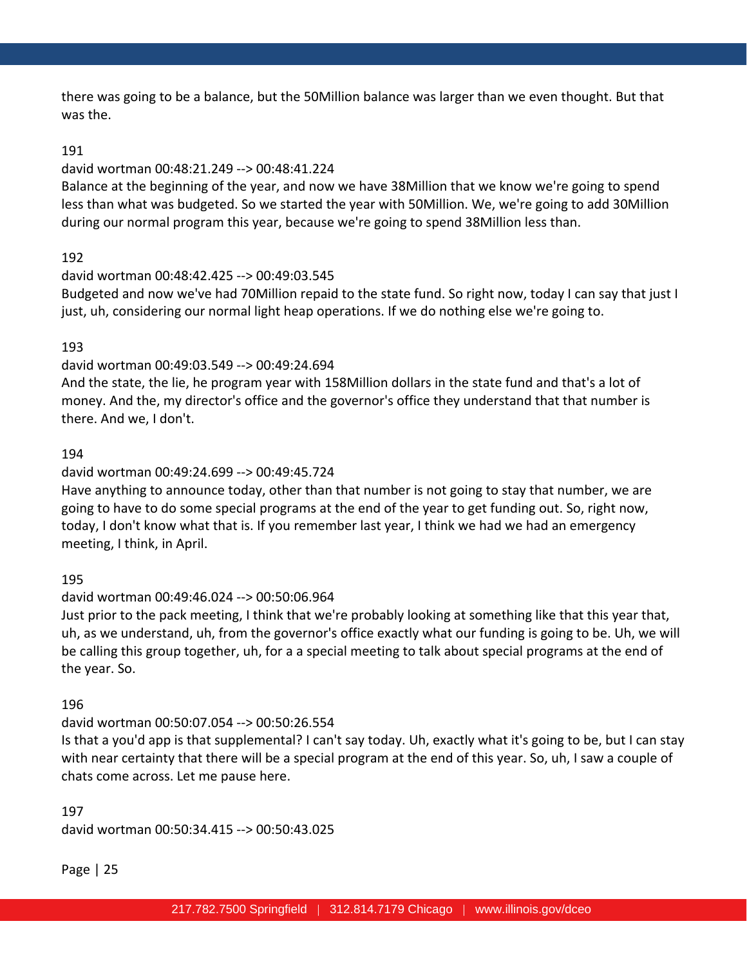there was going to be a balance, but the 50Million balance was larger than we even thought. But that was the.

#### 191

### david wortman 00:48:21.249 --> 00:48:41.224

Balance at the beginning of the year, and now we have 38Million that we know we're going to spend less than what was budgeted. So we started the year with 50Million. We, we're going to add 30Million during our normal program this year, because we're going to spend 38Million less than.

### 192

#### david wortman 00:48:42.425 --> 00:49:03.545

Budgeted and now we've had 70Million repaid to the state fund. So right now, today I can say that just I just, uh, considering our normal light heap operations. If we do nothing else we're going to.

#### 193

### david wortman 00:49:03.549 --> 00:49:24.694

And the state, the lie, he program year with 158Million dollars in the state fund and that's a lot of money. And the, my director's office and the governor's office they understand that that number is there. And we, I don't.

#### 194

### david wortman 00:49:24.699 --> 00:49:45.724

Have anything to announce today, other than that number is not going to stay that number, we are going to have to do some special programs at the end of the year to get funding out. So, right now, today, I don't know what that is. If you remember last year, I think we had we had an emergency meeting, I think, in April.

### 195

### david wortman 00:49:46.024 --> 00:50:06.964

Just prior to the pack meeting, I think that we're probably looking at something like that this year that, uh, as we understand, uh, from the governor's office exactly what our funding is going to be. Uh, we will be calling this group together, uh, for a a special meeting to talk about special programs at the end of the year. So.

#### 196

### david wortman 00:50:07.054 --> 00:50:26.554

Is that a you'd app is that supplemental? I can't say today. Uh, exactly what it's going to be, but I can stay with near certainty that there will be a special program at the end of this year. So, uh, I saw a couple of chats come across. Let me pause here.

# 197 david wortman 00:50:34.415 --> 00:50:43.025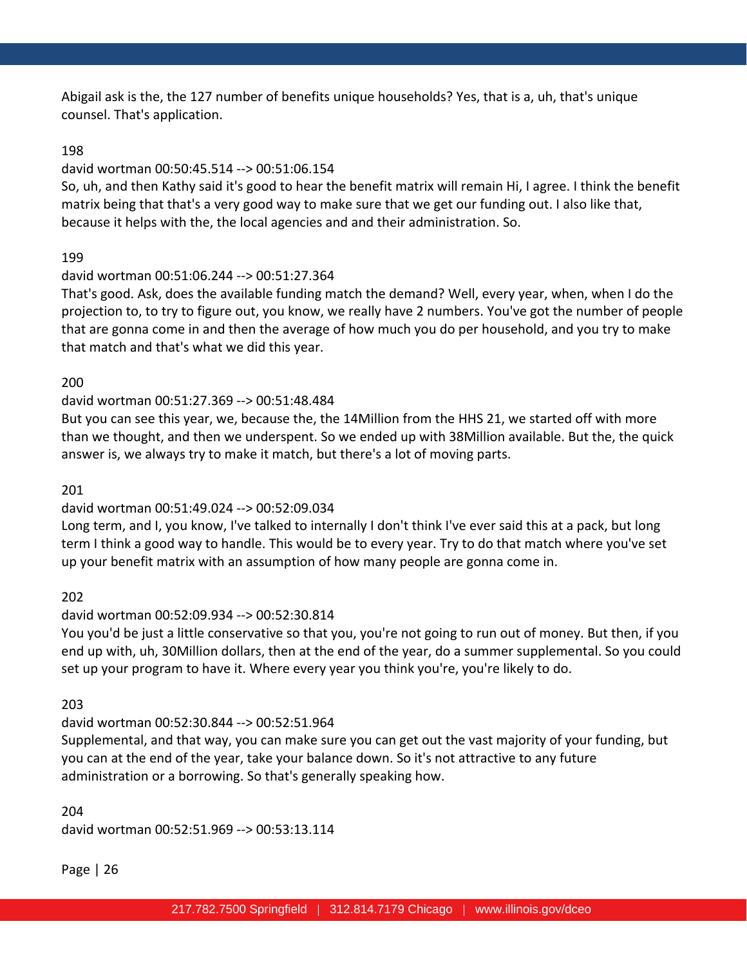Abigail ask is the, the 127 number of benefits unique households? Yes, that is a, uh, that's unique counsel. That's application.

### 198

### david wortman 00:50:45.514 --> 00:51:06.154

So, uh, and then Kathy said it's good to hear the benefit matrix will remain Hi, I agree. I think the benefit matrix being that that's a very good way to make sure that we get our funding out. I also like that, because it helps with the, the local agencies and and their administration. So.

# 199

## david wortman 00:51:06.244 --> 00:51:27.364

That's good. Ask, does the available funding match the demand? Well, every year, when, when I do the projection to, to try to figure out, you know, we really have 2 numbers. You've got the number of people that are gonna come in and then the average of how much you do per household, and you try to make that match and that's what we did this year.

## 200

# david wortman 00:51:27.369 --> 00:51:48.484

But you can see this year, we, because the, the 14Million from the HHS 21, we started off with more than we thought, and then we underspent. So we ended up with 38Million available. But the, the quick answer is, we always try to make it match, but there's a lot of moving parts.

### 201

# david wortman 00:51:49.024 --> 00:52:09.034

Long term, and I, you know, I've talked to internally I don't think I've ever said this at a pack, but long term I think a good way to handle. This would be to every year. Try to do that match where you've set up your benefit matrix with an assumption of how many people are gonna come in.

### 202

### david wortman 00:52:09.934 --> 00:52:30.814

You you'd be just a little conservative so that you, you're not going to run out of money. But then, if you end up with, uh, 30Million dollars, then at the end of the year, do a summer supplemental. So you could set up your program to have it. Where every year you think you're, you're likely to do.

### 203

# david wortman 00:52:30.844 --> 00:52:51.964

Supplemental, and that way, you can make sure you can get out the vast majority of your funding, but you can at the end of the year, take your balance down. So it's not attractive to any future administration or a borrowing. So that's generally speaking how.

204 david wortman 00:52:51.969 --> 00:53:13.114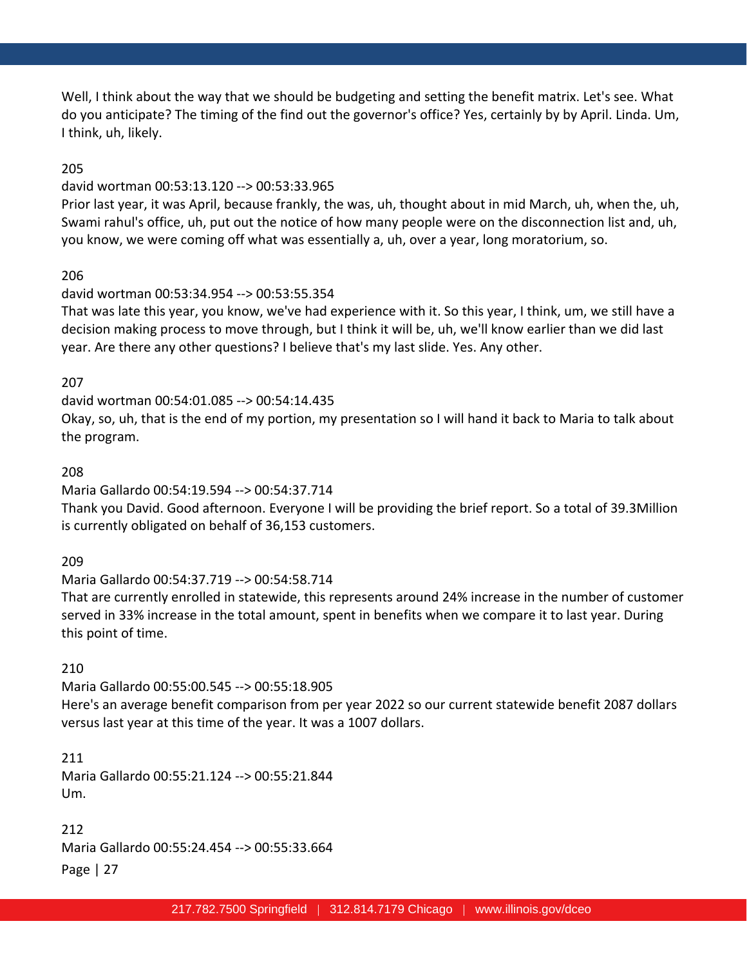Well, I think about the way that we should be budgeting and setting the benefit matrix. Let's see. What do you anticipate? The timing of the find out the governor's office? Yes, certainly by by April. Linda. Um, I think, uh, likely.

### 205

#### david wortman 00:53:13.120 --> 00:53:33.965

Prior last year, it was April, because frankly, the was, uh, thought about in mid March, uh, when the, uh, Swami rahul's office, uh, put out the notice of how many people were on the disconnection list and, uh, you know, we were coming off what was essentially a, uh, over a year, long moratorium, so.

#### 206

#### david wortman 00:53:34.954 --> 00:53:55.354

That was late this year, you know, we've had experience with it. So this year, I think, um, we still have a decision making process to move through, but I think it will be, uh, we'll know earlier than we did last year. Are there any other questions? I believe that's my last slide. Yes. Any other.

#### 207

david wortman 00:54:01.085 --> 00:54:14.435

Okay, so, uh, that is the end of my portion, my presentation so I will hand it back to Maria to talk about the program.

#### 208

#### Maria Gallardo 00:54:19.594 --> 00:54:37.714

Thank you David. Good afternoon. Everyone I will be providing the brief report. So a total of 39.3Million is currently obligated on behalf of 36,153 customers.

#### 209

Maria Gallardo 00:54:37.719 --> 00:54:58.714

That are currently enrolled in statewide, this represents around 24% increase in the number of customer served in 33% increase in the total amount, spent in benefits when we compare it to last year. During this point of time.

#### 210

Maria Gallardo 00:55:00.545 --> 00:55:18.905 Here's an average benefit comparison from per year 2022 so our current statewide benefit 2087 dollars versus last year at this time of the year. It was a 1007 dollars.

## 211

Maria Gallardo 00:55:21.124 --> 00:55:21.844 Um.

Page | 27 212 Maria Gallardo 00:55:24.454 --> 00:55:33.664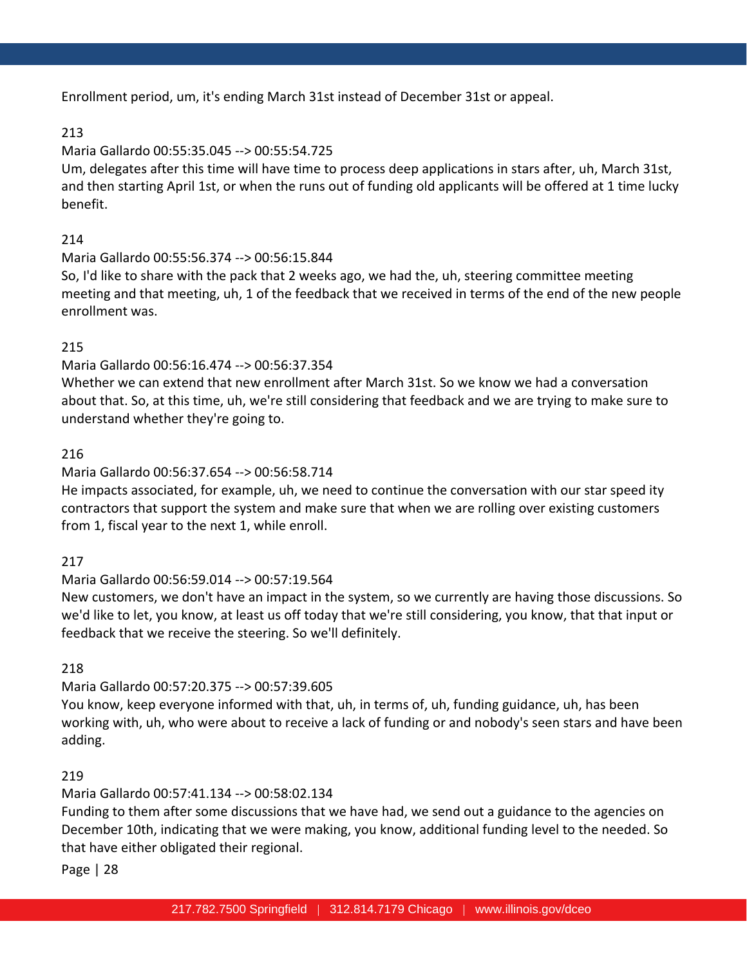Enrollment period, um, it's ending March 31st instead of December 31st or appeal.

# 213

# Maria Gallardo 00:55:35.045 --> 00:55:54.725

Um, delegates after this time will have time to process deep applications in stars after, uh, March 31st, and then starting April 1st, or when the runs out of funding old applicants will be offered at 1 time lucky benefit.

# 214

# Maria Gallardo 00:55:56.374 --> 00:56:15.844

So, I'd like to share with the pack that 2 weeks ago, we had the, uh, steering committee meeting meeting and that meeting, uh, 1 of the feedback that we received in terms of the end of the new people enrollment was.

# 215

# Maria Gallardo 00:56:16.474 --> 00:56:37.354

Whether we can extend that new enrollment after March 31st. So we know we had a conversation about that. So, at this time, uh, we're still considering that feedback and we are trying to make sure to understand whether they're going to.

# 216

# Maria Gallardo 00:56:37.654 --> 00:56:58.714

He impacts associated, for example, uh, we need to continue the conversation with our star speed ity contractors that support the system and make sure that when we are rolling over existing customers from 1, fiscal year to the next 1, while enroll.

# 217

# Maria Gallardo 00:56:59.014 --> 00:57:19.564

New customers, we don't have an impact in the system, so we currently are having those discussions. So we'd like to let, you know, at least us off today that we're still considering, you know, that that input or feedback that we receive the steering. So we'll definitely.

# 218

# Maria Gallardo 00:57:20.375 --> 00:57:39.605

You know, keep everyone informed with that, uh, in terms of, uh, funding guidance, uh, has been working with, uh, who were about to receive a lack of funding or and nobody's seen stars and have been adding.

# 219

# Maria Gallardo 00:57:41.134 --> 00:58:02.134

Funding to them after some discussions that we have had, we send out a guidance to the agencies on December 10th, indicating that we were making, you know, additional funding level to the needed. So that have either obligated their regional.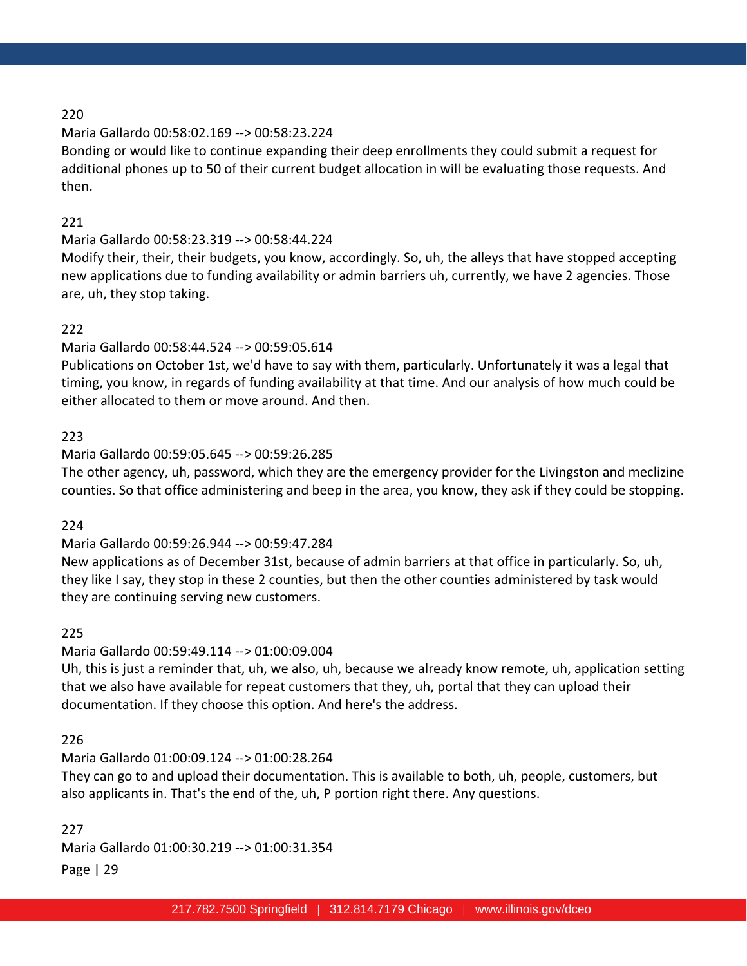# Maria Gallardo 00:58:02.169 --> 00:58:23.224

Bonding or would like to continue expanding their deep enrollments they could submit a request for additional phones up to 50 of their current budget allocation in will be evaluating those requests. And then.

# 221

# Maria Gallardo 00:58:23.319 --> 00:58:44.224

Modify their, their, their budgets, you know, accordingly. So, uh, the alleys that have stopped accepting new applications due to funding availability or admin barriers uh, currently, we have 2 agencies. Those are, uh, they stop taking.

# 222

## Maria Gallardo 00:58:44.524 --> 00:59:05.614

Publications on October 1st, we'd have to say with them, particularly. Unfortunately it was a legal that timing, you know, in regards of funding availability at that time. And our analysis of how much could be either allocated to them or move around. And then.

## 223

## Maria Gallardo 00:59:05.645 --> 00:59:26.285

The other agency, uh, password, which they are the emergency provider for the Livingston and meclizine counties. So that office administering and beep in the area, you know, they ask if they could be stopping.

# 224

# Maria Gallardo 00:59:26.944 --> 00:59:47.284

New applications as of December 31st, because of admin barriers at that office in particularly. So, uh, they like I say, they stop in these 2 counties, but then the other counties administered by task would they are continuing serving new customers.

### 225

# Maria Gallardo 00:59:49.114 --> 01:00:09.004

Uh, this is just a reminder that, uh, we also, uh, because we already know remote, uh, application setting that we also have available for repeat customers that they, uh, portal that they can upload their documentation. If they choose this option. And here's the address.

# 226

# Maria Gallardo 01:00:09.124 --> 01:00:28.264

They can go to and upload their documentation. This is available to both, uh, people, customers, but also applicants in. That's the end of the, uh, P portion right there. Any questions.

# Page | 29 227 Maria Gallardo 01:00:30.219 --> 01:00:31.354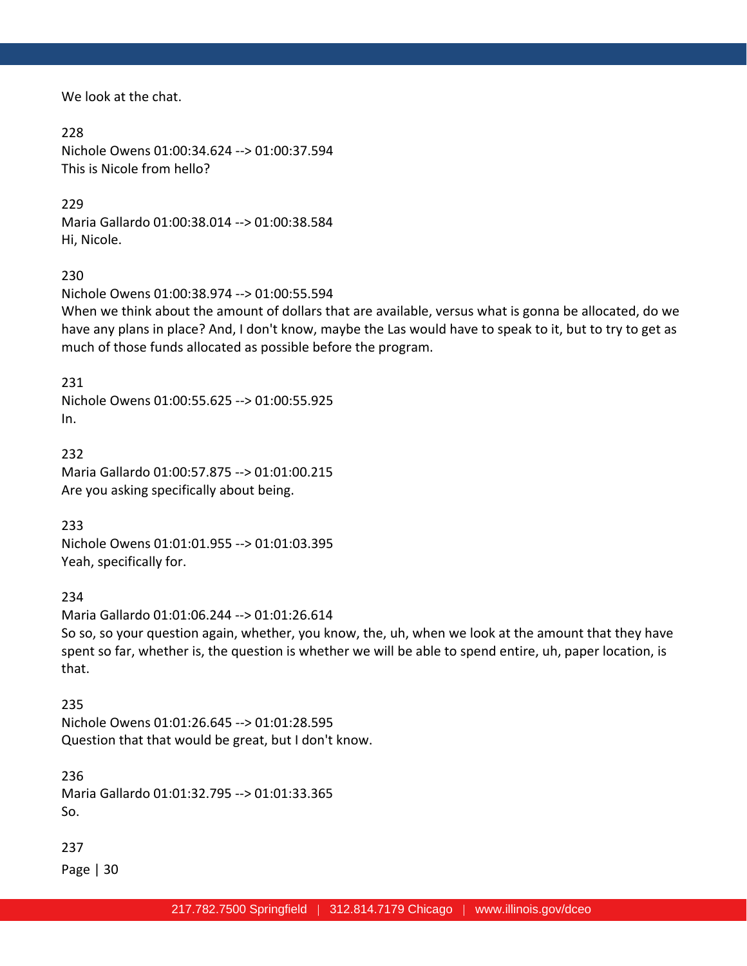We look at the chat.

228 Nichole Owens 01:00:34.624 --> 01:00:37.594 This is Nicole from hello?

# 229

Maria Gallardo 01:00:38.014 --> 01:00:38.584 Hi, Nicole.

230

Nichole Owens 01:00:38.974 --> 01:00:55.594

When we think about the amount of dollars that are available, versus what is gonna be allocated, do we have any plans in place? And, I don't know, maybe the Las would have to speak to it, but to try to get as much of those funds allocated as possible before the program.

231

Nichole Owens 01:00:55.625 --> 01:00:55.925 In.

232 Maria Gallardo 01:00:57.875 --> 01:01:00.215 Are you asking specifically about being.

233

Nichole Owens 01:01:01.955 --> 01:01:03.395 Yeah, specifically for.

234

Maria Gallardo 01:01:06.244 --> 01:01:26.614 So so, so your question again, whether, you know, the, uh, when we look at the amount that they have spent so far, whether is, the question is whether we will be able to spend entire, uh, paper location, is that.

235 Nichole Owens 01:01:26.645 --> 01:01:28.595 Question that that would be great, but I don't know.

236

Maria Gallardo 01:01:32.795 --> 01:01:33.365 So.

237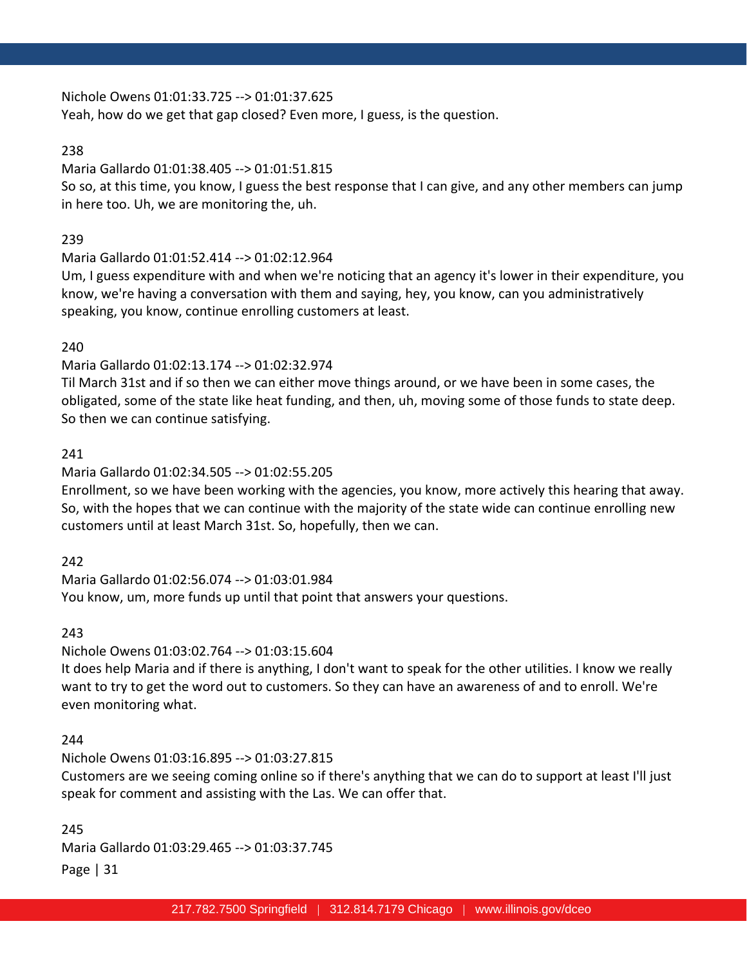Nichole Owens 01:01:33.725 --> 01:01:37.625

Yeah, how do we get that gap closed? Even more, I guess, is the question.

# 238

# Maria Gallardo 01:01:38.405 --> 01:01:51.815

So so, at this time, you know, I guess the best response that I can give, and any other members can jump in here too. Uh, we are monitoring the, uh.

# 239

# Maria Gallardo 01:01:52.414 --> 01:02:12.964

Um, I guess expenditure with and when we're noticing that an agency it's lower in their expenditure, you know, we're having a conversation with them and saying, hey, you know, can you administratively speaking, you know, continue enrolling customers at least.

# 240

# Maria Gallardo 01:02:13.174 --> 01:02:32.974

Til March 31st and if so then we can either move things around, or we have been in some cases, the obligated, some of the state like heat funding, and then, uh, moving some of those funds to state deep. So then we can continue satisfying.

# 241

# Maria Gallardo 01:02:34.505 --> 01:02:55.205

Enrollment, so we have been working with the agencies, you know, more actively this hearing that away. So, with the hopes that we can continue with the majority of the state wide can continue enrolling new customers until at least March 31st. So, hopefully, then we can.

# 242

Maria Gallardo 01:02:56.074 --> 01:03:01.984 You know, um, more funds up until that point that answers your questions.

# 243

# Nichole Owens 01:03:02.764 --> 01:03:15.604 It does help Maria and if there is anything, I don't want to speak for the other utilities. I know we really want to try to get the word out to customers. So they can have an awareness of and to enroll. We're even monitoring what.

# 244

Nichole Owens 01:03:16.895 --> 01:03:27.815 Customers are we seeing coming online so if there's anything that we can do to support at least I'll just speak for comment and assisting with the Las. We can offer that.

Page | 31 245 Maria Gallardo 01:03:29.465 --> 01:03:37.745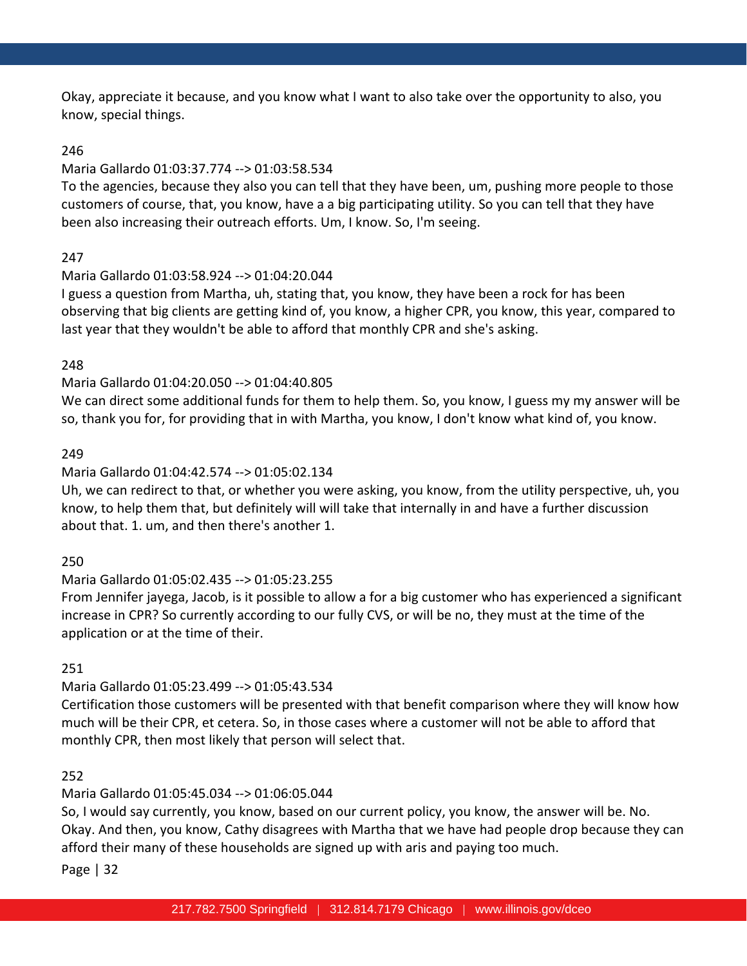Okay, appreciate it because, and you know what I want to also take over the opportunity to also, you know, special things.

# 246

# Maria Gallardo 01:03:37.774 --> 01:03:58.534

To the agencies, because they also you can tell that they have been, um, pushing more people to those customers of course, that, you know, have a a big participating utility. So you can tell that they have been also increasing their outreach efforts. Um, I know. So, I'm seeing.

# 247

# Maria Gallardo 01:03:58.924 --> 01:04:20.044

I guess a question from Martha, uh, stating that, you know, they have been a rock for has been observing that big clients are getting kind of, you know, a higher CPR, you know, this year, compared to last year that they wouldn't be able to afford that monthly CPR and she's asking.

# 248

# Maria Gallardo 01:04:20.050 --> 01:04:40.805

We can direct some additional funds for them to help them. So, you know, I guess my my answer will be so, thank you for, for providing that in with Martha, you know, I don't know what kind of, you know.

# 249

# Maria Gallardo 01:04:42.574 --> 01:05:02.134

Uh, we can redirect to that, or whether you were asking, you know, from the utility perspective, uh, you know, to help them that, but definitely will will take that internally in and have a further discussion about that. 1. um, and then there's another 1.

# 250

# Maria Gallardo 01:05:02.435 --> 01:05:23.255

From Jennifer jayega, Jacob, is it possible to allow a for a big customer who has experienced a significant increase in CPR? So currently according to our fully CVS, or will be no, they must at the time of the application or at the time of their.

# 251

# Maria Gallardo 01:05:23.499 --> 01:05:43.534

Certification those customers will be presented with that benefit comparison where they will know how much will be their CPR, et cetera. So, in those cases where a customer will not be able to afford that monthly CPR, then most likely that person will select that.

# 252

# Maria Gallardo 01:05:45.034 --> 01:06:05.044

So, I would say currently, you know, based on our current policy, you know, the answer will be. No. Okay. And then, you know, Cathy disagrees with Martha that we have had people drop because they can afford their many of these households are signed up with aris and paying too much.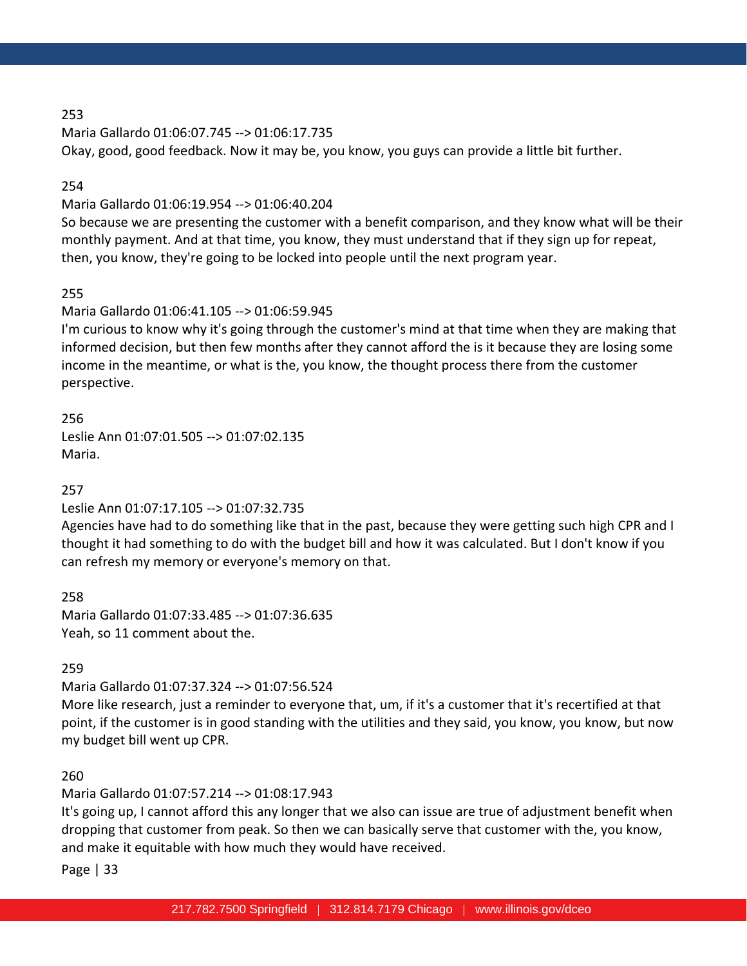Maria Gallardo 01:06:07.745 --> 01:06:17.735 Okay, good, good feedback. Now it may be, you know, you guys can provide a little bit further.

### 254

## Maria Gallardo 01:06:19.954 --> 01:06:40.204

So because we are presenting the customer with a benefit comparison, and they know what will be their monthly payment. And at that time, you know, they must understand that if they sign up for repeat, then, you know, they're going to be locked into people until the next program year.

# 255

# Maria Gallardo 01:06:41.105 --> 01:06:59.945

I'm curious to know why it's going through the customer's mind at that time when they are making that informed decision, but then few months after they cannot afford the is it because they are losing some income in the meantime, or what is the, you know, the thought process there from the customer perspective.

256 Leslie Ann 01:07:01.505 --> 01:07:02.135 Maria.

# 257

# Leslie Ann 01:07:17.105 --> 01:07:32.735

Agencies have had to do something like that in the past, because they were getting such high CPR and I thought it had something to do with the budget bill and how it was calculated. But I don't know if you can refresh my memory or everyone's memory on that.

258

Maria Gallardo 01:07:33.485 --> 01:07:36.635 Yeah, so 11 comment about the.

# 259

# Maria Gallardo 01:07:37.324 --> 01:07:56.524

More like research, just a reminder to everyone that, um, if it's a customer that it's recertified at that point, if the customer is in good standing with the utilities and they said, you know, you know, but now my budget bill went up CPR.

# 260

# Maria Gallardo 01:07:57.214 --> 01:08:17.943

It's going up, I cannot afford this any longer that we also can issue are true of adjustment benefit when dropping that customer from peak. So then we can basically serve that customer with the, you know, and make it equitable with how much they would have received.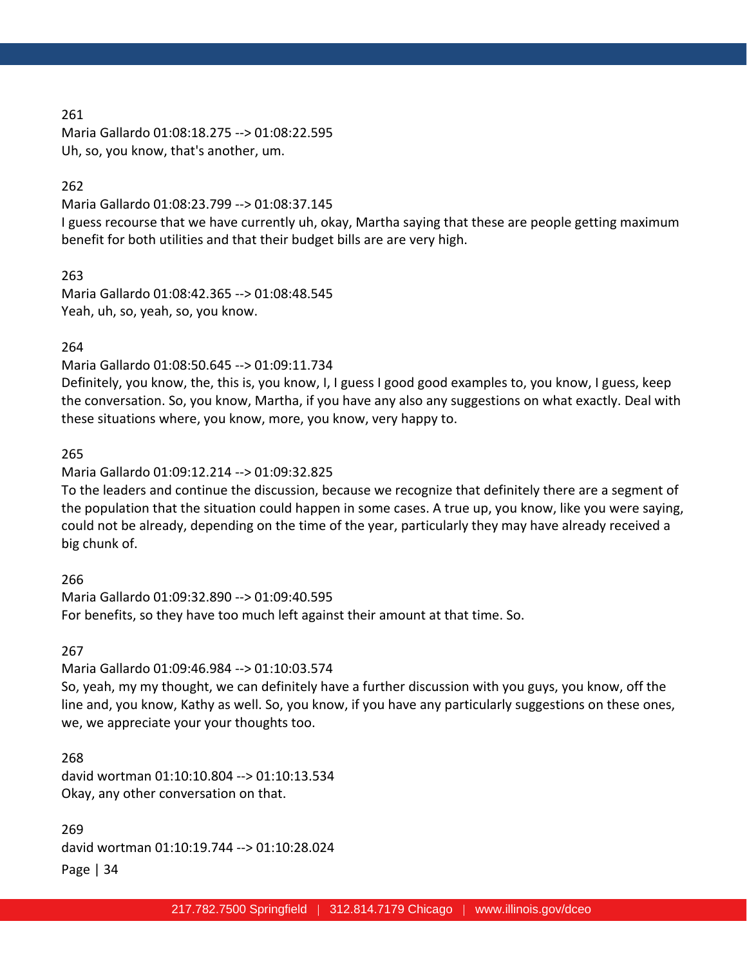Maria Gallardo 01:08:18.275 --> 01:08:22.595 Uh, so, you know, that's another, um.

#### 262

Maria Gallardo 01:08:23.799 --> 01:08:37.145

I guess recourse that we have currently uh, okay, Martha saying that these are people getting maximum benefit for both utilities and that their budget bills are are very high.

263

Maria Gallardo 01:08:42.365 --> 01:08:48.545 Yeah, uh, so, yeah, so, you know.

#### 264

Maria Gallardo 01:08:50.645 --> 01:09:11.734

Definitely, you know, the, this is, you know, I, I guess I good good examples to, you know, I guess, keep the conversation. So, you know, Martha, if you have any also any suggestions on what exactly. Deal with these situations where, you know, more, you know, very happy to.

#### 265

Maria Gallardo 01:09:12.214 --> 01:09:32.825

To the leaders and continue the discussion, because we recognize that definitely there are a segment of the population that the situation could happen in some cases. A true up, you know, like you were saying, could not be already, depending on the time of the year, particularly they may have already received a big chunk of.

266

Maria Gallardo 01:09:32.890 --> 01:09:40.595 For benefits, so they have too much left against their amount at that time. So.

#### 267

Maria Gallardo 01:09:46.984 --> 01:10:03.574

So, yeah, my my thought, we can definitely have a further discussion with you guys, you know, off the line and, you know, Kathy as well. So, you know, if you have any particularly suggestions on these ones, we, we appreciate your your thoughts too.

## 268

david wortman 01:10:10.804 --> 01:10:13.534 Okay, any other conversation on that.

Page | 34 269 david wortman 01:10:19.744 --> 01:10:28.024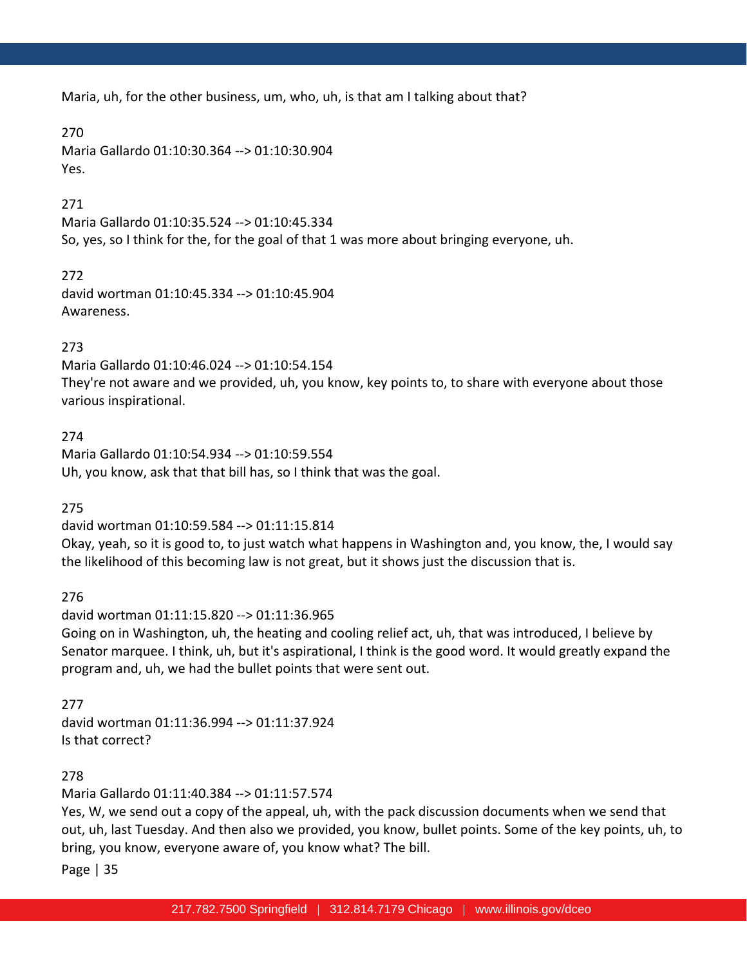Maria, uh, for the other business, um, who, uh, is that am I talking about that?

## 270

Maria Gallardo 01:10:30.364 --> 01:10:30.904 Yes.

# 271

Maria Gallardo 01:10:35.524 --> 01:10:45.334 So, yes, so I think for the, for the goal of that 1 was more about bringing everyone, uh.

272 david wortman 01:10:45.334 --> 01:10:45.904 Awareness.

# 273

Maria Gallardo 01:10:46.024 --> 01:10:54.154 They're not aware and we provided, uh, you know, key points to, to share with everyone about those various inspirational.

274 Maria Gallardo 01:10:54.934 --> 01:10:59.554 Uh, you know, ask that that bill has, so I think that was the goal.

275

david wortman 01:10:59.584 --> 01:11:15.814 Okay, yeah, so it is good to, to just watch what happens in Washington and, you know, the, I would say the likelihood of this becoming law is not great, but it shows just the discussion that is.

276

david wortman 01:11:15.820 --> 01:11:36.965 Going on in Washington, uh, the heating and cooling relief act, uh, that was introduced, I believe by Senator marquee. I think, uh, but it's aspirational, I think is the good word. It would greatly expand the program and, uh, we had the bullet points that were sent out.

277

david wortman 01:11:36.994 --> 01:11:37.924 Is that correct?

278

Maria Gallardo 01:11:40.384 --> 01:11:57.574

Yes, W, we send out a copy of the appeal, uh, with the pack discussion documents when we send that out, uh, last Tuesday. And then also we provided, you know, bullet points. Some of the key points, uh, to bring, you know, everyone aware of, you know what? The bill.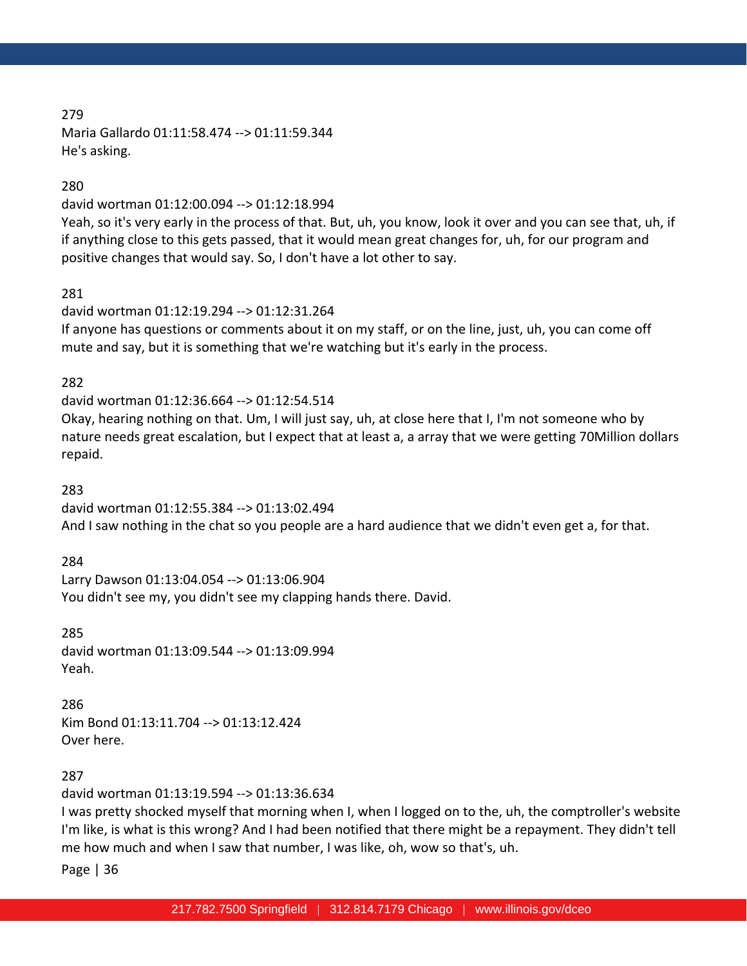Maria Gallardo 01:11:58.474 --> 01:11:59.344 He's asking.

#### 280

david wortman 01:12:00.094 --> 01:12:18.994

Yeah, so it's very early in the process of that. But, uh, you know, look it over and you can see that, uh, if if anything close to this gets passed, that it would mean great changes for, uh, for our program and positive changes that would say. So, I don't have a lot other to say.

### 281

david wortman 01:12:19.294 --> 01:12:31.264 If anyone has questions or comments about it on my staff, or on the line, just, uh, you can come off mute and say, but it is something that we're watching but it's early in the process.

### 282

david wortman 01:12:36.664 --> 01:12:54.514 Okay, hearing nothing on that. Um, I will just say, uh, at close here that I, I'm not someone who by nature needs great escalation, but I expect that at least a, a array that we were getting 70Million dollars repaid.

#### 283

david wortman 01:12:55.384 --> 01:13:02.494 And I saw nothing in the chat so you people are a hard audience that we didn't even get a, for that.

### 284

Larry Dawson 01:13:04.054 --> 01:13:06.904 You didn't see my, you didn't see my clapping hands there. David.

285 david wortman 01:13:09.544 --> 01:13:09.994 Yeah.

286

Kim Bond 01:13:11.704 --> 01:13:12.424 Over here.

### 287

david wortman 01:13:19.594 --> 01:13:36.634

I was pretty shocked myself that morning when I, when I logged on to the, uh, the comptroller's website I'm like, is what is this wrong? And I had been notified that there might be a repayment. They didn't tell me how much and when I saw that number, I was like, oh, wow so that's, uh.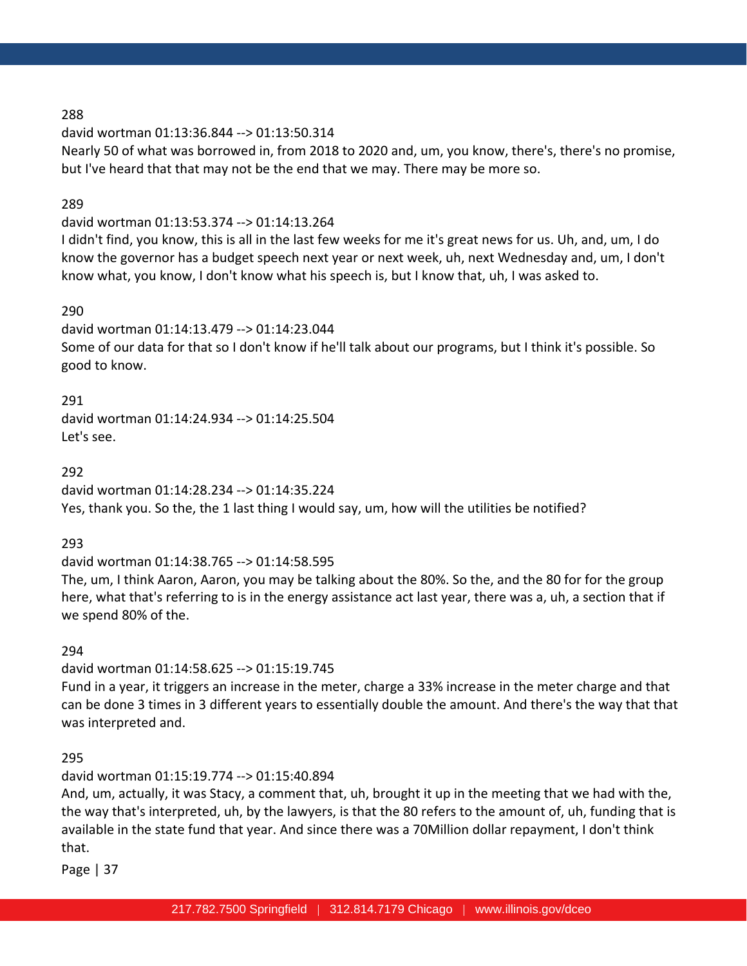david wortman 01:13:36.844 --> 01:13:50.314 Nearly 50 of what was borrowed in, from 2018 to 2020 and, um, you know, there's, there's no promise, but I've heard that that may not be the end that we may. There may be more so.

### 289

## david wortman 01:13:53.374 --> 01:14:13.264

I didn't find, you know, this is all in the last few weeks for me it's great news for us. Uh, and, um, I do know the governor has a budget speech next year or next week, uh, next Wednesday and, um, I don't know what, you know, I don't know what his speech is, but I know that, uh, I was asked to.

### 290

david wortman 01:14:13.479 --> 01:14:23.044 Some of our data for that so I don't know if he'll talk about our programs, but I think it's possible. So good to know.

291

david wortman 01:14:24.934 --> 01:14:25.504 Let's see.

292

david wortman 01:14:28.234 --> 01:14:35.224 Yes, thank you. So the, the 1 last thing I would say, um, how will the utilities be notified?

293

david wortman 01:14:38.765 --> 01:14:58.595

The, um, I think Aaron, Aaron, you may be talking about the 80%. So the, and the 80 for for the group here, what that's referring to is in the energy assistance act last year, there was a, uh, a section that if we spend 80% of the.

294

david wortman 01:14:58.625 --> 01:15:19.745

Fund in a year, it triggers an increase in the meter, charge a 33% increase in the meter charge and that can be done 3 times in 3 different years to essentially double the amount. And there's the way that that was interpreted and.

295

david wortman 01:15:19.774 --> 01:15:40.894

And, um, actually, it was Stacy, a comment that, uh, brought it up in the meeting that we had with the, the way that's interpreted, uh, by the lawyers, is that the 80 refers to the amount of, uh, funding that is available in the state fund that year. And since there was a 70Million dollar repayment, I don't think that.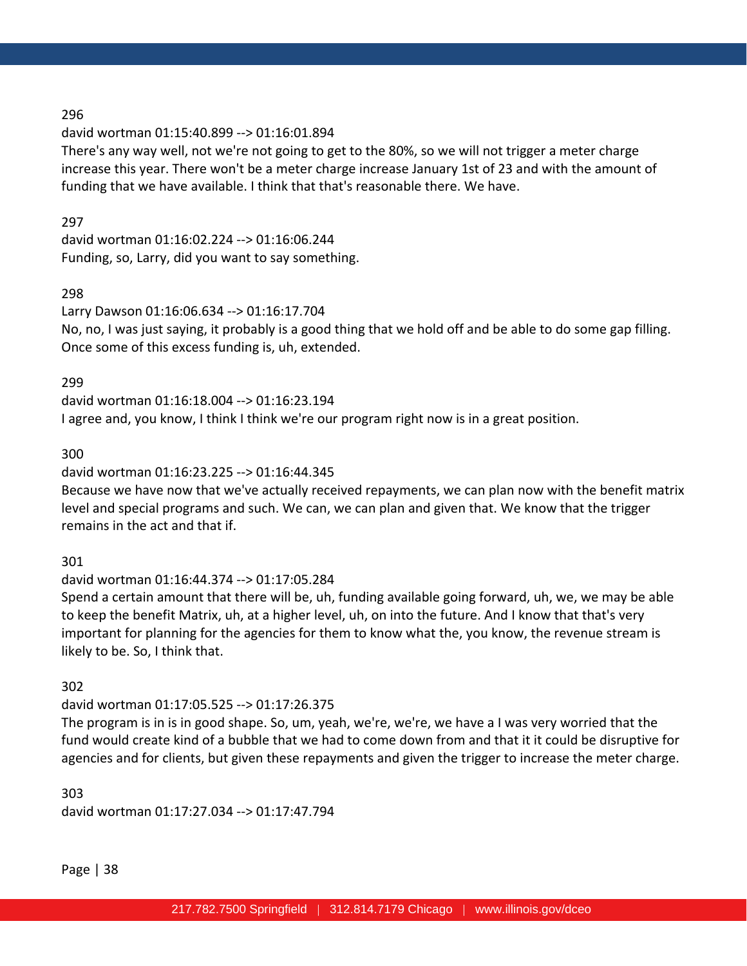### david wortman 01:15:40.899 --> 01:16:01.894

There's any way well, not we're not going to get to the 80%, so we will not trigger a meter charge increase this year. There won't be a meter charge increase January 1st of 23 and with the amount of funding that we have available. I think that that's reasonable there. We have.

### 297

david wortman 01:16:02.224 --> 01:16:06.244 Funding, so, Larry, did you want to say something.

# 298

Larry Dawson 01:16:06.634 --> 01:16:17.704 No, no, I was just saying, it probably is a good thing that we hold off and be able to do some gap filling. Once some of this excess funding is, uh, extended.

299

david wortman 01:16:18.004 --> 01:16:23.194 I agree and, you know, I think I think we're our program right now is in a great position.

## 300

# david wortman 01:16:23.225 --> 01:16:44.345

Because we have now that we've actually received repayments, we can plan now with the benefit matrix level and special programs and such. We can, we can plan and given that. We know that the trigger remains in the act and that if.

# 301

# david wortman 01:16:44.374 --> 01:17:05.284

Spend a certain amount that there will be, uh, funding available going forward, uh, we, we may be able to keep the benefit Matrix, uh, at a higher level, uh, on into the future. And I know that that's very important for planning for the agencies for them to know what the, you know, the revenue stream is likely to be. So, I think that.

# 302

# david wortman 01:17:05.525 --> 01:17:26.375

The program is in is in good shape. So, um, yeah, we're, we're, we have a I was very worried that the fund would create kind of a bubble that we had to come down from and that it it could be disruptive for agencies and for clients, but given these repayments and given the trigger to increase the meter charge.

303 david wortman 01:17:27.034 --> 01:17:47.794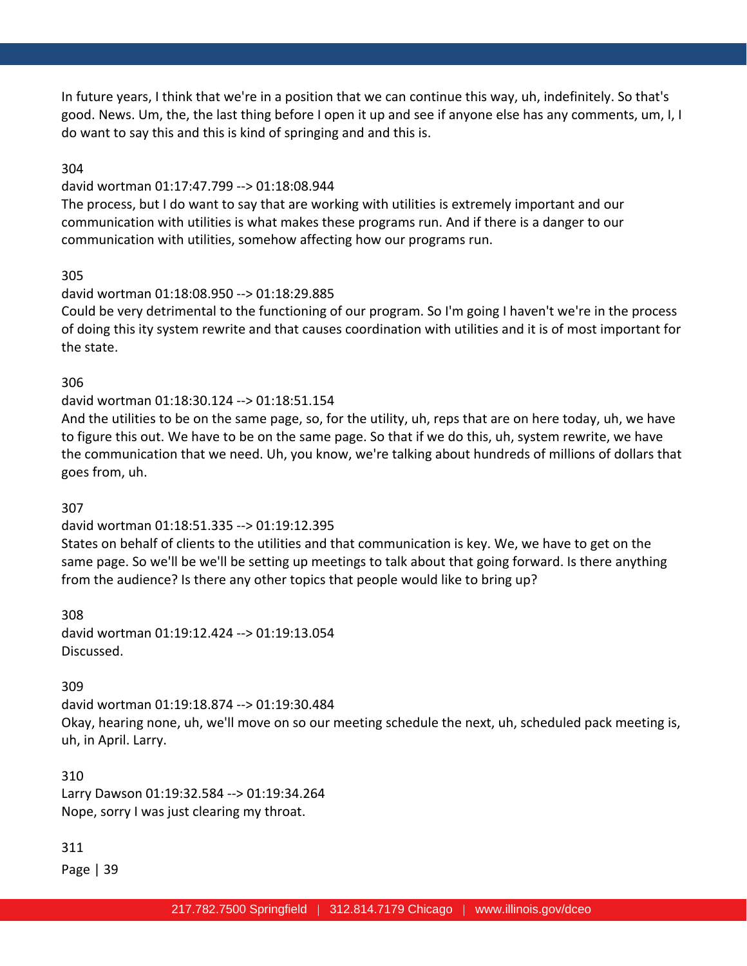In future years, I think that we're in a position that we can continue this way, uh, indefinitely. So that's good. News. Um, the, the last thing before I open it up and see if anyone else has any comments, um, I, I do want to say this and this is kind of springing and and this is.

### 304

#### david wortman 01:17:47.799 --> 01:18:08.944

The process, but I do want to say that are working with utilities is extremely important and our communication with utilities is what makes these programs run. And if there is a danger to our communication with utilities, somehow affecting how our programs run.

### 305

### david wortman 01:18:08.950 --> 01:18:29.885

Could be very detrimental to the functioning of our program. So I'm going I haven't we're in the process of doing this ity system rewrite and that causes coordination with utilities and it is of most important for the state.

#### 306

### david wortman 01:18:30.124 --> 01:18:51.154

And the utilities to be on the same page, so, for the utility, uh, reps that are on here today, uh, we have to figure this out. We have to be on the same page. So that if we do this, uh, system rewrite, we have the communication that we need. Uh, you know, we're talking about hundreds of millions of dollars that goes from, uh.

### 307

### david wortman 01:18:51.335 --> 01:19:12.395

States on behalf of clients to the utilities and that communication is key. We, we have to get on the same page. So we'll be we'll be setting up meetings to talk about that going forward. Is there anything from the audience? Is there any other topics that people would like to bring up?

308 david wortman 01:19:12.424 --> 01:19:13.054 Discussed.

### 309

david wortman 01:19:18.874 --> 01:19:30.484 Okay, hearing none, uh, we'll move on so our meeting schedule the next, uh, scheduled pack meeting is, uh, in April. Larry.

310 Larry Dawson 01:19:32.584 --> 01:19:34.264 Nope, sorry I was just clearing my throat.

### 311